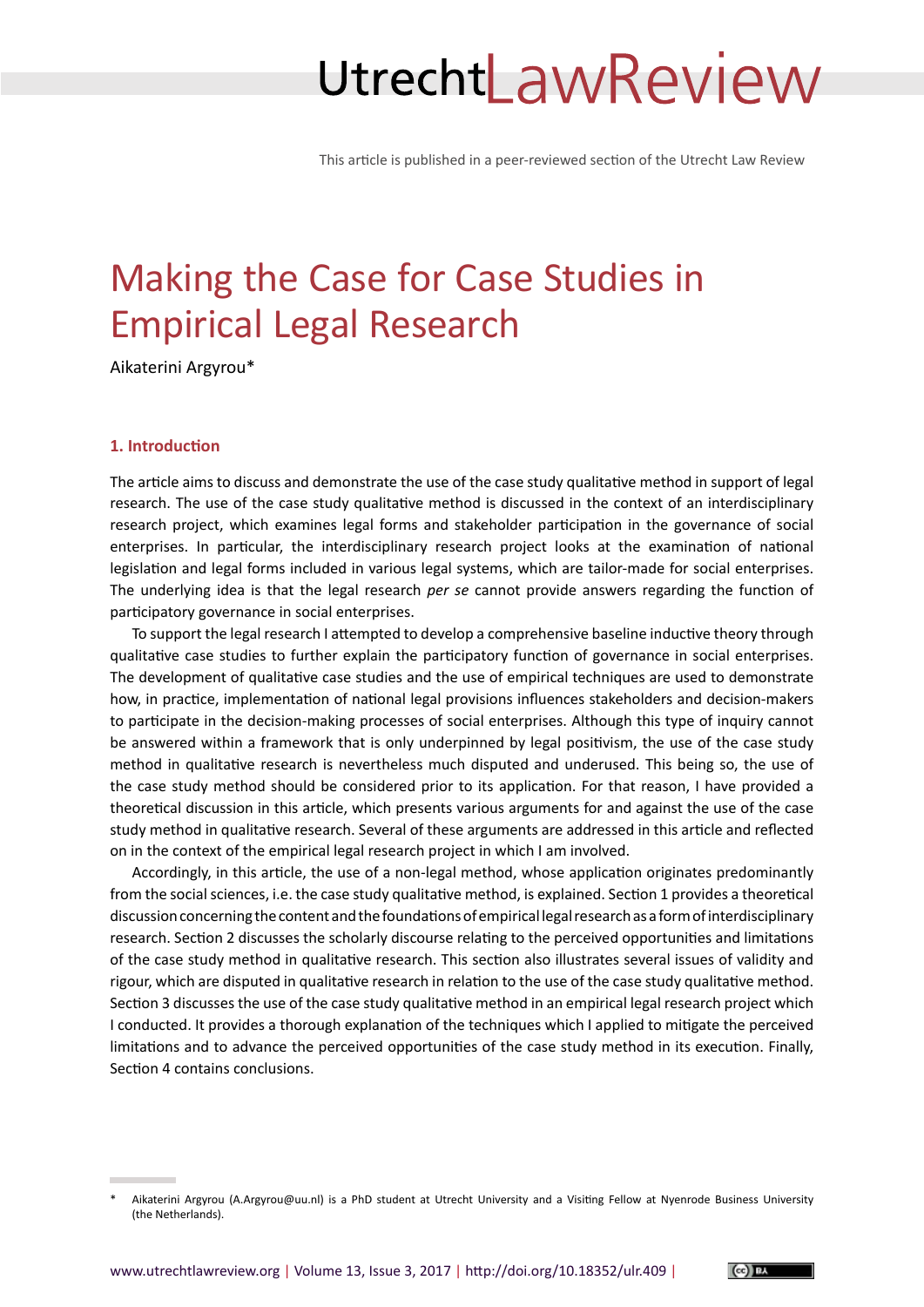# UtrechtLawReview

This article is published in a peer-reviewed section of the Utrecht Law Review

# Making the Case for Case Studies in Empirical Legal Research

Aikaterini Argyrou\*<sup>1</sup>

# **1. Introduction**

The article aims to discuss and demonstrate the use of the case study qualitative method in support of legal research. The use of the case study qualitative method is discussed in the context of an interdisciplinary research project, which examines legal forms and stakeholder participation in the governance of social enterprises. In particular, the interdisciplinary research project looks at the examination of national legislation and legal forms included in various legal systems, which are tailor-made for social enterprises. The underlying idea is that the legal research *per se* cannot provide answers regarding the function of participatory governance in social enterprises.

To support the legal research I attempted to develop a comprehensive baseline inductive theory through qualitative case studies to further explain the participatory function of governance in social enterprises. The development of qualitative case studies and the use of empirical techniques are used to demonstrate how, in practice, implementation of national legal provisions influences stakeholders and decision-makers to participate in the decision-making processes of social enterprises. Although this type of inquiry cannot be answered within a framework that is only underpinned by legal positivism, the use of the case study method in qualitative research is nevertheless much disputed and underused. This being so, the use of the case study method should be considered prior to its application. For that reason, I have provided a theoretical discussion in this article, which presents various arguments for and against the use of the case study method in qualitative research. Several of these arguments are addressed in this article and reflected on in the context of the empirical legal research project in which I am involved.

Accordingly, in this article, the use of a non-legal method, whose application originates predominantly from the social sciences, i.e. the case study qualitative method, is explained. Section 1 provides a theoretical discussion concerning the content and the foundations of empirical legal research as a form of interdisciplinary research. Section 2 discusses the scholarly discourse relating to the perceived opportunities and limitations of the case study method in qualitative research. This section also illustrates several issues of validity and rigour, which are disputed in qualitative research in relation to the use of the case study qualitative method. Section 3 discusses the use of the case study qualitative method in an empirical legal research project which I conducted. It provides a thorough explanation of the techniques which I applied to mitigate the perceived limitations and to advance the perceived opportunities of the case study method in its execution. Finally, Section 4 contains conclusions.



Aikaterini Argyrou [\(A.Argyrou@uu.nl](mailto:A.Argyrou@uu.nl)) is a PhD student at Utrecht University and a Visiting Fellow at Nyenrode Business University (the Netherlands).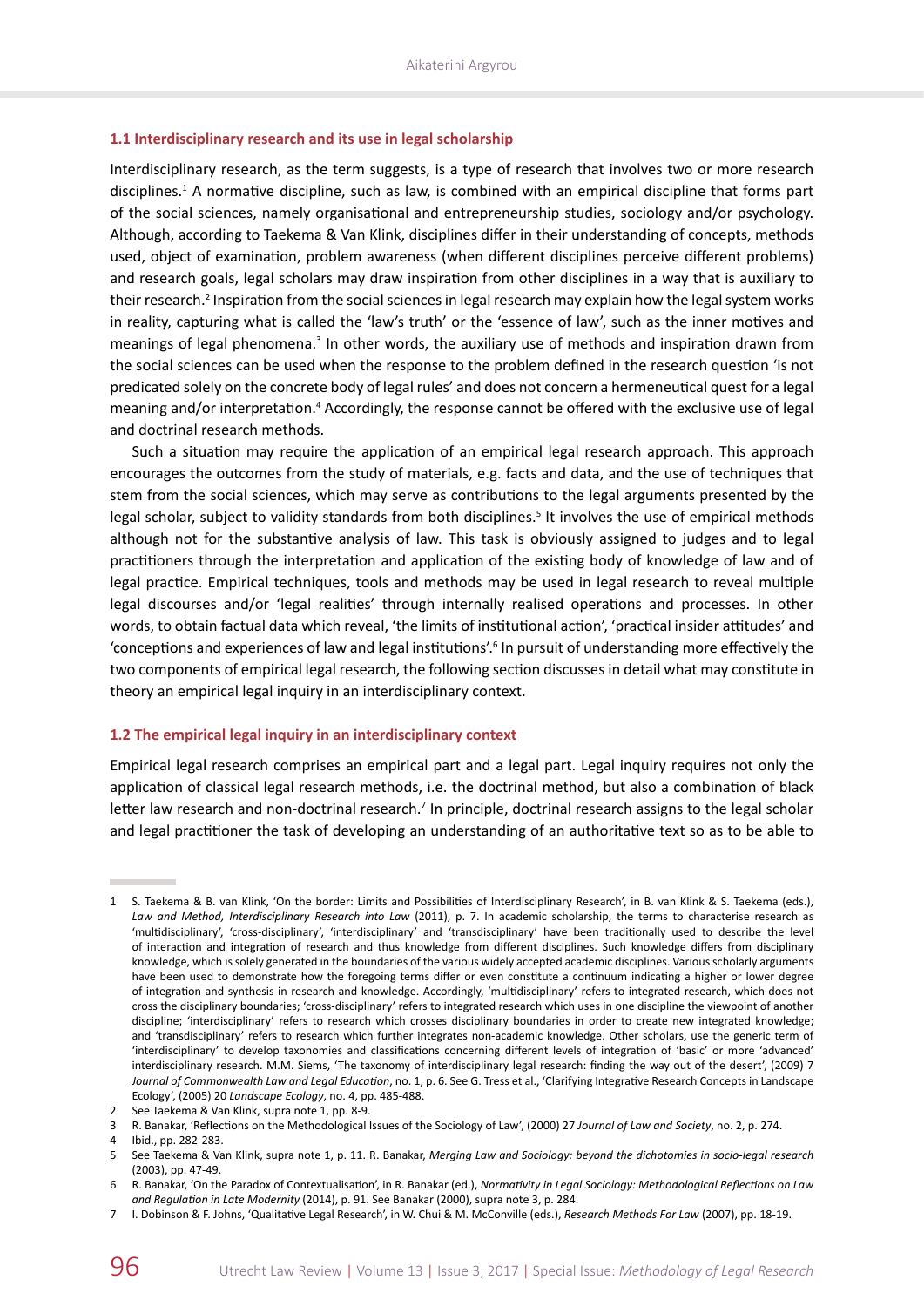#### **1.1 Interdisciplinary research and its use in legal scholarship**

Interdisciplinary research, as the term suggests, is a type of research that involves two or more research disciplines.<sup>1</sup> A normative discipline, such as law, is combined with an empirical discipline that forms part of the social sciences, namely organisational and entrepreneurship studies, sociology and/or psychology. Although, according to Taekema & Van Klink, disciplines differ in their understanding of concepts, methods used, object of examination, problem awareness (when different disciplines perceive different problems) and research goals, legal scholars may draw inspiration from other disciplines in a way that is auxiliary to their research.<sup>2</sup> Inspiration from the social sciences in legal research may explain how the legal system works in reality, capturing what is called the 'law's truth' or the 'essence of law', such as the inner motives and meanings of legal phenomena.<sup>3</sup> In other words, the auxiliary use of methods and inspiration drawn from the social sciences can be used when the response to the problem defined in the research question 'is not predicated solely on the concrete body of legal rules' and does not concern a hermeneutical quest for a legal meaning and/or interpretation.<sup>4</sup> Accordingly, the response cannot be offered with the exclusive use of legal and doctrinal research methods.

Such a situation may require the application of an empirical legal research approach. This approach encourages the outcomes from the study of materials, e.g. facts and data, and the use of techniques that stem from the social sciences, which may serve as contributions to the legal arguments presented by the legal scholar, subject to validity standards from both disciplines.<sup>5</sup> It involves the use of empirical methods although not for the substantive analysis of law. This task is obviously assigned to judges and to legal practitioners through the interpretation and application of the existing body of knowledge of law and of legal practice. Empirical techniques, tools and methods may be used in legal research to reveal multiple legal discourses and/or 'legal realities' through internally realised operations and processes. In other words, to obtain factual data which reveal, 'the limits of institutional action', 'practical insider attitudes' and 'conceptions and experiences of law and legal institutions'.<sup>6</sup> In pursuit of understanding more effectively the two components of empirical legal research, the following section discusses in detail what may constitute in theory an empirical legal inquiry in an interdisciplinary context.

#### **1.2 The empirical legal inquiry in an interdisciplinary context**

Empirical legal research comprises an empirical part and a legal part. Legal inquiry requires not only the application of classical legal research methods, i.e. the doctrinal method, but also a combination of black letter law research and non-doctrinal research.<sup>7</sup> In principle, doctrinal research assigns to the legal scholar and legal practitioner the task of developing an understanding of an authoritative text so as to be able to

<sup>1</sup> S. Taekema & B. van Klink, 'On the border: Limits and Possibilities of Interdisciplinary Research', in B. van Klink & S. Taekema (eds.), *Law and Method, Interdisciplinary Research into Law* (2011), p. 7. In academic scholarship, the terms to characterise research as 'multidisciplinary', 'cross-disciplinary', 'interdisciplinary' and 'transdisciplinary' have been traditionally used to describe the level of interaction and integration of research and thus knowledge from different disciplines. Such knowledge differs from disciplinary knowledge, which is solely generated in the boundaries of the various widely accepted academic disciplines. Various scholarly arguments have been used to demonstrate how the foregoing terms differ or even constitute a continuum indicating a higher or lower degree of integration and synthesis in research and knowledge. Accordingly, 'multidisciplinary' refers to integrated research, which does not cross the disciplinary boundaries; 'cross-disciplinary' refers to integrated research which uses in one discipline the viewpoint of another discipline; 'interdisciplinary' refers to research which crosses disciplinary boundaries in order to create new integrated knowledge; and 'transdisciplinary' refers to research which further integrates non-academic knowledge. Other scholars, use the generic term of 'interdisciplinary' to develop taxonomies and classifications concerning different levels of integration of 'basic' or more 'advanced' interdisciplinary research. M.M. Siems, 'The taxonomy of interdisciplinary legal research: finding the way out of the desert', (2009) 7 *Journal of Commonwealth Law and Legal Education*, no. 1, p. 6. See G. Tress et al., 'Clarifying Integrative Research Concepts in Landscape Ecology', (2005) 20 *Landscape Ecology*, no. 4, pp. 485-488.

<sup>2</sup> See Taekema & Van Klink, supra note 1, pp. 8-9.

<sup>3</sup> R. Banakar, 'Reflections on the Methodological Issues of the Sociology of Law', (2000) 27 *Journal of Law and Society*, no. 2, p. 274.

<sup>4</sup> Ibid., pp. 282-283.

<sup>5</sup> See Taekema & Van Klink, supra note 1, p. 11. R. Banakar, *Merging Law and Sociology: beyond the dichotomies in socio-legal research* (2003), pp. 47-49.

<sup>6</sup> R. Banakar, 'On the Paradox of Contextualisation', in R. Banakar (ed.), *Normativity in Legal Sociology: Methodological Reflections on Law and Regulation in Late Modernity* (2014), p. 91. See Banakar (2000), supra note 3, p. 284.

<sup>7</sup> I. Dobinson & F. Johns, 'Qualitative Legal Research', in W. Chui & M. McConville (eds.), *Research Methods For Law* (2007), pp. 18-19.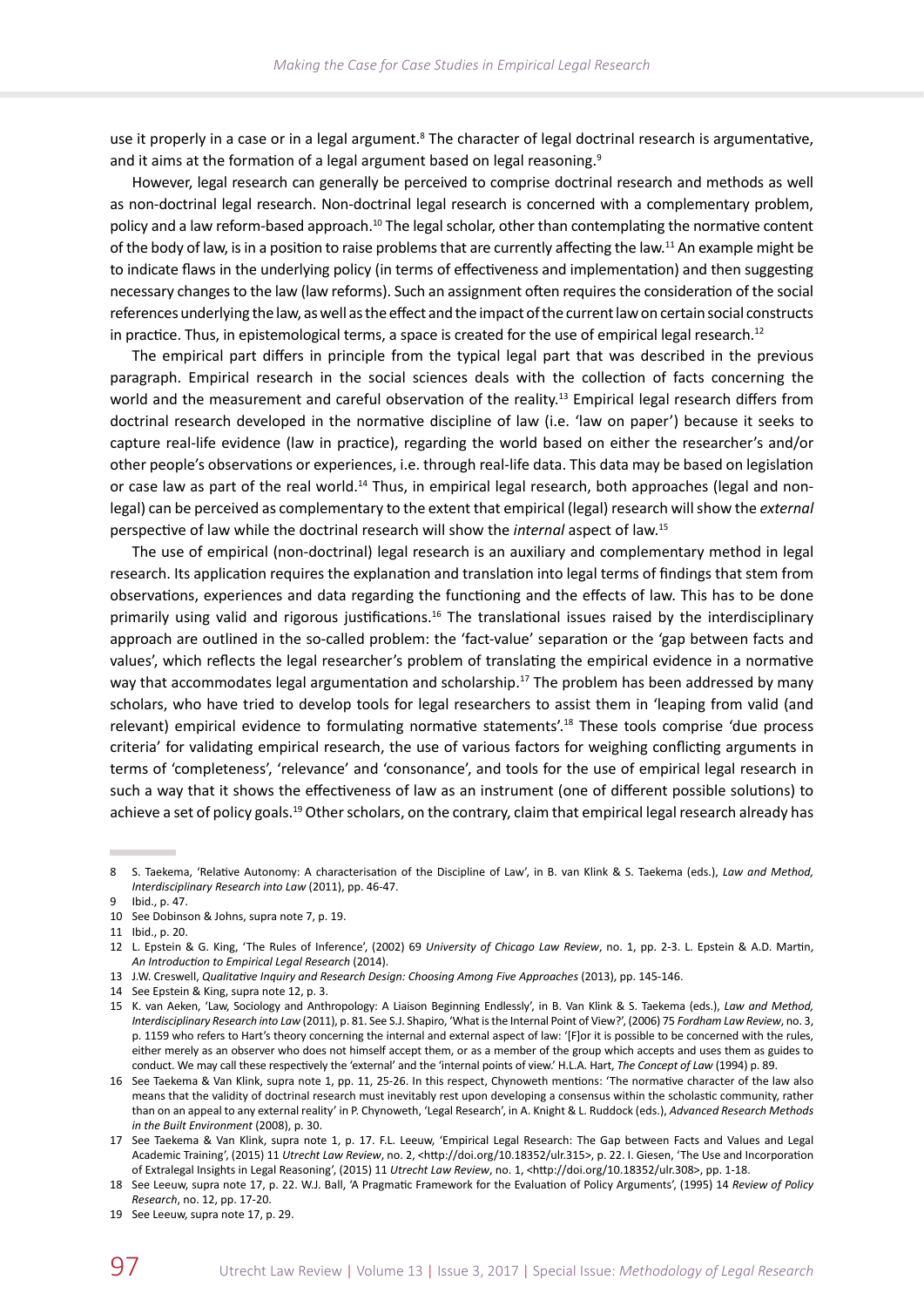use it properly in a case or in a legal argument.<sup>8</sup> The character of legal doctrinal research is argumentative, and it aims at the formation of a legal argument based on legal reasoning.<sup>9</sup>

However, legal research can generally be perceived to comprise doctrinal research and methods as well as non-doctrinal legal research. Non-doctrinal legal research is concerned with a complementary problem, policy and a law reform-based approach.<sup>10</sup> The legal scholar, other than contemplating the normative content of the body of law, is in a position to raise problems that are currently affecting the law.<sup>11</sup> An example might be to indicate flaws in the underlying policy (in terms of effectiveness and implementation) and then suggesting necessary changes to the law (law reforms). Such an assignment often requires the consideration of the social references underlying the law, as well as the effect and the impact of the current law on certain social constructs in practice. Thus, in epistemological terms, a space is created for the use of empirical legal research.<sup>12</sup>

The empirical part differs in principle from the typical legal part that was described in the previous paragraph. Empirical research in the social sciences deals with the collection of facts concerning the world and the measurement and careful observation of the reality.<sup>13</sup> Empirical legal research differs from doctrinal research developed in the normative discipline of law (i.e. 'law on paper') because it seeks to capture real-life evidence (law in practice), regarding the world based on either the researcher's and/or other people's observations or experiences, i.e. through real-life data. This data may be based on legislation or case law as part of the real world.<sup>14</sup> Thus, in empirical legal research, both approaches (legal and nonlegal) can be perceived as complementary to the extent that empirical (legal) research will show the *external* perspective of law while the doctrinal research will show the *internal* aspect of law.15

The use of empirical (non-doctrinal) legal research is an auxiliary and complementary method in legal research. Its application requires the explanation and translation into legal terms of findings that stem from observations, experiences and data regarding the functioning and the effects of law. This has to be done primarily using valid and rigorous justifications.<sup>16</sup> The translational issues raised by the interdisciplinary approach are outlined in the so-called problem: the 'fact-value' separation or the 'gap between facts and values', which reflects the legal researcher's problem of translating the empirical evidence in a normative way that accommodates legal argumentation and scholarship.<sup>17</sup> The problem has been addressed by many scholars, who have tried to develop tools for legal researchers to assist them in 'leaping from valid (and relevant) empirical evidence to formulating normative statements'.18 These tools comprise 'due process criteria' for validating empirical research, the use of various factors for weighing conflicting arguments in terms of 'completeness', 'relevance' and 'consonance', and tools for the use of empirical legal research in such a way that it shows the effectiveness of law as an instrument (one of different possible solutions) to achieve a set of policy goals.<sup>19</sup> Other scholars, on the contrary, claim that empirical legal research already has

<sup>8</sup> S. Taekema, 'Relative Autonomy: A characterisation of the Discipline of Law', in B. van Klink & S. Taekema (eds.), *Law and Method, Interdisciplinary Research into Law* (2011), pp. 46-47.

<sup>9</sup> Ibid., p. 47.

<sup>10</sup> See Dobinson & Johns, supra note 7, p. 19.

<sup>11</sup> Ibid., p. 20.

<sup>12</sup> L. Epstein & G. King, 'The Rules of Inference', (2002) 69 *University of Chicago Law Review*, no. 1, pp. 2-3. L. Epstein & A.D. Martin, *An Introduction to Empirical Legal Research* (2014).

<sup>13</sup> J.W. Creswell, *Qualitative Inquiry and Research Design: Choosing Among Five Approaches* (2013), pp. 145-146.

<sup>14</sup> See Epstein & King, supra note 12, p. 3.

<sup>15</sup> K. van Aeken, 'Law, Sociology and Anthropology: A Liaison Beginning Endlessly', in B. Van Klink & S. Taekema (eds.), *Law and Method, Interdisciplinary Research into Law* (2011), p. 81. See S.J. Shapiro, 'What is the Internal Point of View?', (2006) 75 *Fordham Law Review*, no. 3, p. 1159 who refers to Hart's theory concerning the internal and external aspect of law: '[F]or it is possible to be concerned with the rules, either merely as an observer who does not himself accept them, or as a member of the group which accepts and uses them as guides to conduct. We may call these respectively the 'external' and the 'internal points of view.' H.L.A. Hart, *The Concept of Law* (1994) p. 89.

<sup>16</sup> See Taekema & Van Klink, supra note 1, pp. 11, 25-26. In this respect, Chynoweth mentions: 'The normative character of the law also means that the validity of doctrinal research must inevitably rest upon developing a consensus within the scholastic community, rather than on an appeal to any external reality' in P. Chynoweth, 'Legal Research', in A. Knight & L. Ruddock (eds.), *Advanced Research Methods in the Built Environment* (2008), p. 30.

<sup>17</sup> See Taekema & Van Klink, supra note 1, p. 17. F.L. Leeuw, 'Empirical Legal Research: The Gap between Facts and Values and Legal Academic Training', (2015) 11 *Utrecht Law Review*, no. 2, [<http://doi.org/10.18352/ulr.315](http://doi.org/10.18352/ulr.315)>, p. 22. I. Giesen, 'The Use and Incorporation of Extralegal Insights in Legal Reasoning', (2015) 11 *Utrecht Law Review*, no. 1, [<http://doi.org/10.18352/ulr.308](http://doi.org/10.18352/ulr.308)>, pp. 1-18.

<sup>18</sup> See Leeuw, supra note 17, p. 22. W.J. Ball, 'A Pragmatic Framework for the Evaluation of Policy Arguments', (1995) 14 *Review of Policy Research*, no. 12, pp. 17-20.

<sup>19</sup> See Leeuw, supra note 17, p. 29.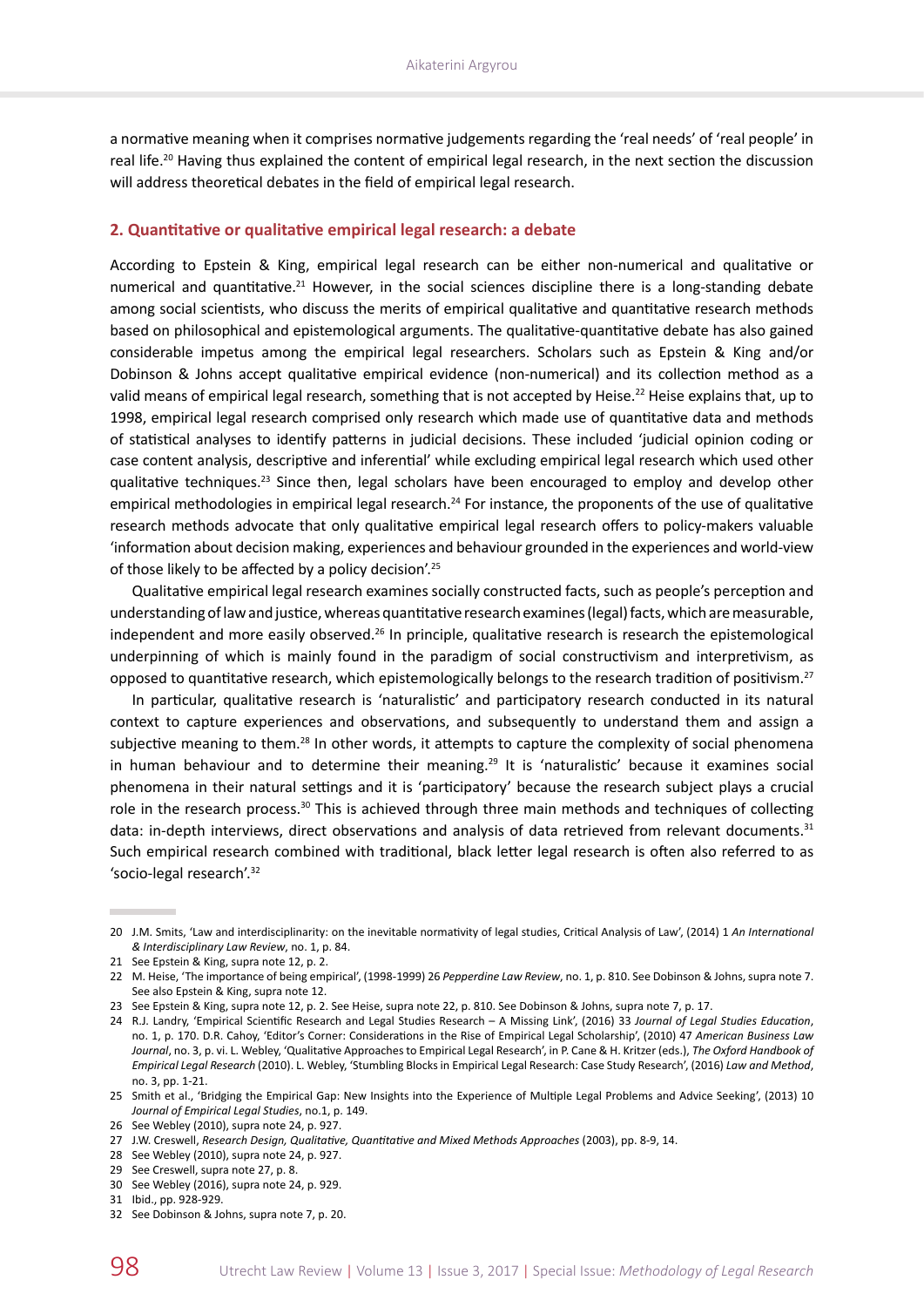a normative meaning when it comprises normative judgements regarding the 'real needs' of 'real people' in real life.<sup>20</sup> Having thus explained the content of empirical legal research, in the next section the discussion will address theoretical debates in the field of empirical legal research.

### **2. Quantitative or qualitative empirical legal research: a debate**

According to Epstein & King, empirical legal research can be either non-numerical and qualitative or numerical and quantitative.<sup>21</sup> However, in the social sciences discipline there is a long-standing debate among social scientists, who discuss the merits of empirical qualitative and quantitative research methods based on philosophical and epistemological arguments. The qualitative-quantitative debate has also gained considerable impetus among the empirical legal researchers. Scholars such as Epstein & King and/or Dobinson & Johns accept qualitative empirical evidence (non-numerical) and its collection method as a valid means of empirical legal research, something that is not accepted by Heise.<sup>22</sup> Heise explains that, up to 1998, empirical legal research comprised only research which made use of quantitative data and methods of statistical analyses to identify patterns in judicial decisions. These included 'judicial opinion coding or case content analysis, descriptive and inferential' while excluding empirical legal research which used other qualitative techniques.<sup>23</sup> Since then, legal scholars have been encouraged to employ and develop other empirical methodologies in empirical legal research.<sup>24</sup> For instance, the proponents of the use of qualitative research methods advocate that only qualitative empirical legal research offers to policy-makers valuable 'information about decision making, experiences and behaviour grounded in the experiences and world-view of those likely to be affected by a policy decision'.<sup>25</sup>

Qualitative empirical legal research examines socially constructed facts, such as people's perception and understanding of law and justice, whereas quantitative research examines (legal) facts, which are measurable, independent and more easily observed.<sup>26</sup> In principle, qualitative research is research the epistemological underpinning of which is mainly found in the paradigm of social constructivism and interpretivism, as opposed to quantitative research, which epistemologically belongs to the research tradition of positivism.<sup>27</sup>

In particular, qualitative research is 'naturalistic' and participatory research conducted in its natural context to capture experiences and observations, and subsequently to understand them and assign a subjective meaning to them.<sup>28</sup> In other words, it attempts to capture the complexity of social phenomena in human behaviour and to determine their meaning.<sup>29</sup> It is 'naturalistic' because it examines social phenomena in their natural settings and it is 'participatory' because the research subject plays a crucial role in the research process.<sup>30</sup> This is achieved through three main methods and techniques of collecting data: in-depth interviews, direct observations and analysis of data retrieved from relevant documents.<sup>31</sup> Such empirical research combined with traditional, black letter legal research is often also referred to as 'socio‑legal research'.<sup>32</sup>

<sup>20</sup> J.M. Smits, 'Law and interdisciplinarity: on the inevitable normativity of legal studies, Critical Analysis of Law', (2014) 1 *An International & Interdisciplinary Law Review*, no. 1, p. 84.

<sup>21</sup> See Epstein & King, supra note 12, p. 2.

<sup>22</sup> M. Heise, 'The importance of being empirical', (1998-1999) 26 *Pepperdine Law Review*, no. 1, p. 810. See Dobinson & Johns, supra note 7. See also Epstein & King, supra note 12.

<sup>23</sup> See Epstein & King, supra note 12, p. 2. See Heise, supra note 22, p. 810. See Dobinson & Johns, supra note 7, p. 17.

<sup>24</sup> R.J. Landry, 'Empirical Scientific Research and Legal Studies Research – A Missing Link', (2016) 33 *Journal of Legal Studies Education*, no. 1, p. 170. D.R. Cahoy, 'Editor's Corner: Considerations in the Rise of Empirical Legal Scholarship', (2010) 47 *American Business Law Journal*, no. 3, p. vi. L. Webley, 'Qualitative Approaches to Empirical Legal Research', in P. Cane & H. Kritzer (eds.), *The Oxford Handbook of Empirical Legal Research* (2010). L. Webley, 'Stumbling Blocks in Empirical Legal Research: Case Study Research', (2016) *Law and Method*, no. 3, pp. 1-21.

<sup>25</sup> Smith et al., 'Bridging the Empirical Gap: New Insights into the Experience of Multiple Legal Problems and Advice Seeking', (2013) 10 *Journal of Empirical Legal Studies*, no.1, p. 149.

<sup>26</sup> See Webley (2010), supra note 24, p. 927.

<sup>27</sup> J.W. Creswell, *Research Design, Qualitative, Quantitative and Mixed Methods Approaches* (2003), pp. 8-9, 14.

<sup>28</sup> See Webley (2010), supra note 24, p. 927.

<sup>29</sup> See Creswell, supra note 27, p. 8.

<sup>30</sup> See Webley (2016), supra note 24, p. 929.

<sup>31</sup> Ibid., pp. 928-929.

<sup>32</sup> See Dobinson & Johns, supra note 7, p. 20.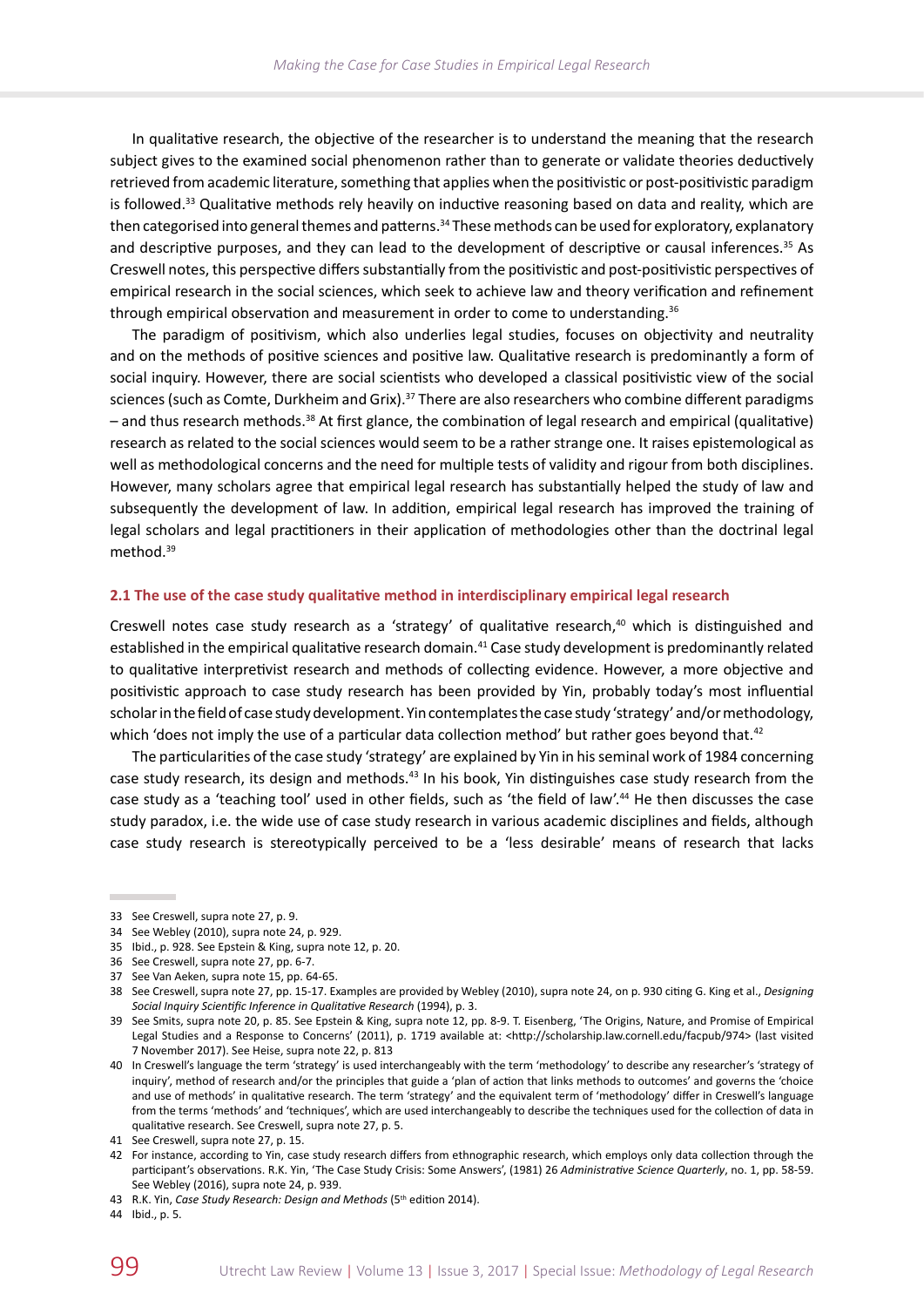In qualitative research, the objective of the researcher is to understand the meaning that the research subject gives to the examined social phenomenon rather than to generate or validate theories deductively retrieved from academic literature, something that applies when the positivistic or post-positivistic paradigm is followed.<sup>33</sup> Qualitative methods rely heavily on inductive reasoning based on data and reality, which are then categorised into general themes and patterns.<sup>34</sup> These methods can be used for exploratory, explanatory and descriptive purposes, and they can lead to the development of descriptive or causal inferences.<sup>35</sup> As Creswell notes, this perspective differs substantially from the positivistic and post-positivistic perspectives of empirical research in the social sciences, which seek to achieve law and theory verification and refinement through empirical observation and measurement in order to come to understanding.<sup>36</sup>

The paradigm of positivism, which also underlies legal studies, focuses on objectivity and neutrality and on the methods of positive sciences and positive law. Qualitative research is predominantly a form of social inquiry. However, there are social scientists who developed a classical positivistic view of the social sciences (such as Comte, Durkheim and Grix).<sup>37</sup> There are also researchers who combine different paradigms – and thus research methods.38 At first glance, the combination of legal research and empirical (qualitative) research as related to the social sciences would seem to be a rather strange one. It raises epistemological as well as methodological concerns and the need for multiple tests of validity and rigour from both disciplines. However, many scholars agree that empirical legal research has substantially helped the study of law and subsequently the development of law. In addition, empirical legal research has improved the training of legal scholars and legal practitioners in their application of methodologies other than the doctrinal legal method.39

#### **2.1 The use of the case study qualitative method in interdisciplinary empirical legal research**

Creswell notes case study research as a 'strategy' of qualitative research, $40$  which is distinguished and established in the empirical qualitative research domain.<sup>41</sup> Case study development is predominantly related to qualitative interpretivist research and methods of collecting evidence. However, a more objective and positivistic approach to case study research has been provided by Yin, probably today's most influential scholar in the field of case study development. Yin contemplates the case study 'strategy' and/or methodology, which 'does not imply the use of a particular data collection method' but rather goes beyond that.<sup>42</sup>

The particularities of the case study 'strategy' are explained by Yin in his seminal work of 1984 concerning case study research, its design and methods.43 In his book, Yin distinguishes case study research from the case study as a 'teaching tool' used in other fields, such as 'the field of law'.44 He then discusses the case study paradox, i.e. the wide use of case study research in various academic disciplines and fields, although case study research is stereotypically perceived to be a 'less desirable' means of research that lacks

<sup>33</sup> See Creswell, supra note 27, p. 9.

<sup>34</sup> See Webley (2010), supra note 24, p. 929.

<sup>35</sup> Ibid., p. 928. See Epstein & King, supra note 12, p. 20.

<sup>36</sup> See Creswell, supra note 27, pp. 6-7.

<sup>37</sup> See Van Aeken, supra note 15, pp. 64-65.

<sup>38</sup> See Creswell, supra note 27, pp. 15-17. Examples are provided by Webley (2010), supra note 24, on p. 930 citing G. King et al., *Designing Social Inquiry Scientific Inference in Qualitative Research* (1994), p. 3.

<sup>39</sup> See Smits, supra note 20, p. 85. See Epstein & King, supra note 12, pp. 8-9. T. Eisenberg, 'The Origins, Nature, and Promise of Empirical Legal Studies and a Response to Concerns' (2011), p. 1719 available at: [<http://scholarship.law.cornell.edu/facpub/974](http://scholarship.law.cornell.edu/facpub/974)> (last visited 7 November 2017). See Heise, supra note 22, p. 813

<sup>40</sup> In Creswell's language the term 'strategy' is used interchangeably with the term 'methodology' to describe any researcher's 'strategy of inquiry', method of research and/or the principles that guide a 'plan of action that links methods to outcomes' and governs the 'choice and use of methods' in qualitative research. The term 'strategy' and the equivalent term of 'methodology' differ in Creswell's language from the terms 'methods' and 'techniques', which are used interchangeably to describe the techniques used for the collection of data in qualitative research. See Creswell, supra note 27, p. 5.

<sup>41</sup> See Creswell, supra note 27, p. 15.

<sup>42</sup> For instance, according to Yin, case study research differs from ethnographic research, which employs only data collection through the participant's observations. R.K. Yin, 'The Case Study Crisis: Some Answers', (1981) 26 *Administrative Science Quarterly*, no. 1, pp. 58-59. See Webley (2016), supra note 24, p. 939.

<sup>43</sup> R.K. Yin, Case Study Research: Design and Methods (5<sup>th</sup> edition 2014).

<sup>44</sup> Ibid., p. 5.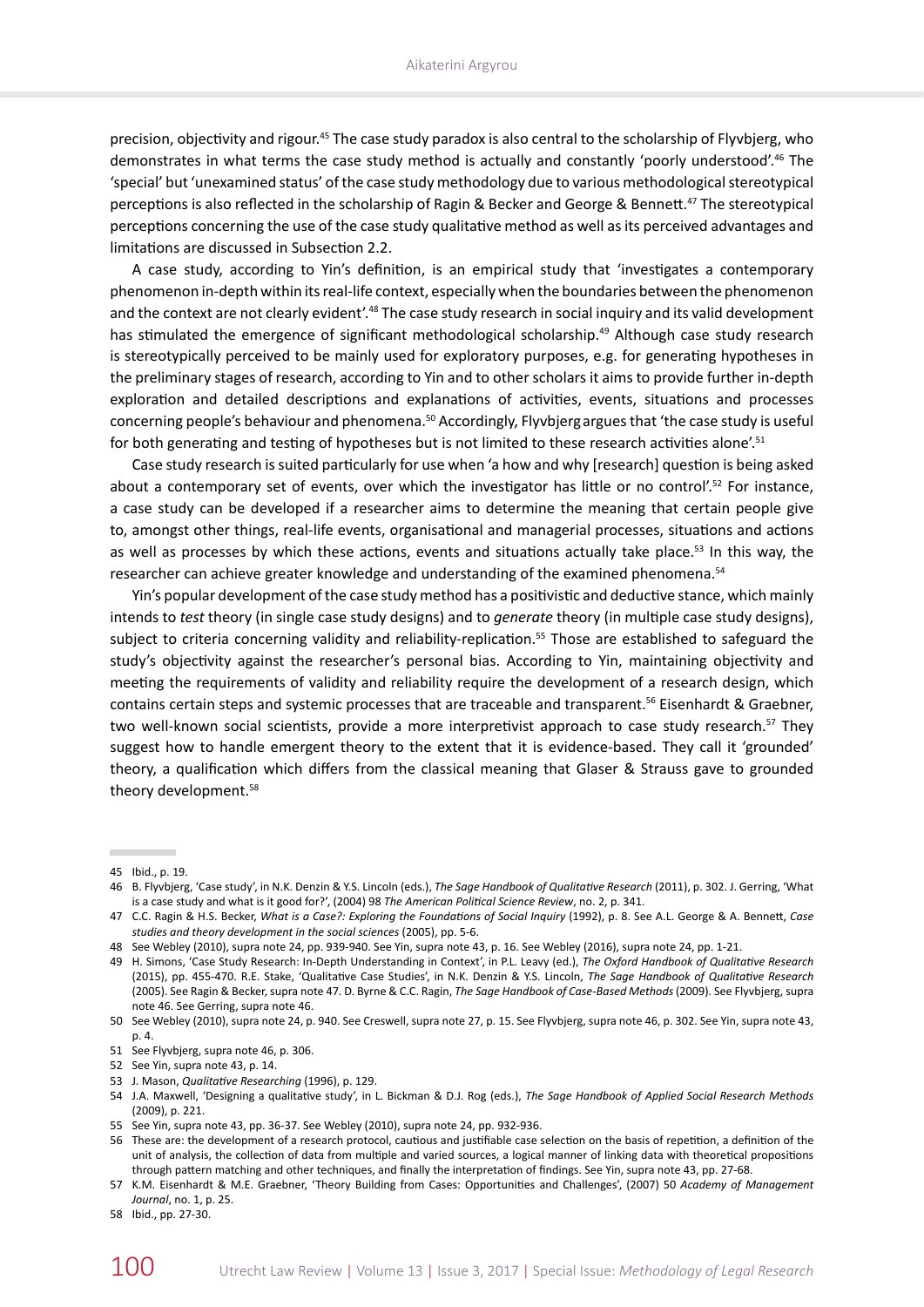precision, objectivity and rigour.45 The case study paradox is also central to the scholarship of Flyvbjerg, who demonstrates in what terms the case study method is actually and constantly 'poorly understood'.46 The 'special' but 'unexamined status' of the case study methodology due to various methodological stereotypical perceptions is also reflected in the scholarship of Ragin & Becker and George & Bennett.47 The stereotypical perceptions concerning the use of the case study qualitative method as well as its perceived advantages and limitations are discussed in Subsection 2.2.

A case study, according to Yin's definition, is an empirical study that 'investigates a contemporary phenomenon in-depth within its real-life context, especially when the boundaries between the phenomenon and the context are not clearly evident'.<sup>48</sup> The case study research in social inquiry and its valid development has stimulated the emergence of significant methodological scholarship.<sup>49</sup> Although case study research is stereotypically perceived to be mainly used for exploratory purposes, e.g. for generating hypotheses in the preliminary stages of research, according to Yin and to other scholars it aims to provide further in‑depth exploration and detailed descriptions and explanations of activities, events, situations and processes concerning people's behaviour and phenomena.50 Accordingly, Flyvbjergargues that 'the case study is useful for both generating and testing of hypotheses but is not limited to these research activities alone'.<sup>51</sup>

Case study research is suited particularly for use when 'a how and why [research] question is being asked about a contemporary set of events, over which the investigator has little or no control'.<sup>52</sup> For instance, a case study can be developed if a researcher aims to determine the meaning that certain people give to, amongst other things, real-life events, organisational and managerial processes, situations and actions as well as processes by which these actions, events and situations actually take place.<sup>53</sup> In this way, the researcher can achieve greater knowledge and understanding of the examined phenomena.<sup>54</sup>

Yin's popular development of the case study method has a positivistic and deductive stance, which mainly intends to *test* theory (in single case study designs) and to *generate* theory (in multiple case study designs), subject to criteria concerning validity and reliability-replication.<sup>55</sup> Those are established to safeguard the study's objectivity against the researcher's personal bias. According to Yin, maintaining objectivity and meeting the requirements of validity and reliability require the development of a research design, which contains certain steps and systemic processes that are traceable and transparent.<sup>56</sup> Eisenhardt & Graebner, two well-known social scientists, provide a more interpretivist approach to case study research.<sup>57</sup> They suggest how to handle emergent theory to the extent that it is evidence-based. They call it 'grounded' theory, a qualification which differs from the classical meaning that Glaser & Strauss gave to grounded theory development.58

<sup>45</sup> Ibid., p. 19.

<sup>46</sup> B. Flyvbjerg, 'Case study', in N.K. Denzin & Y.S. Lincoln (eds.), *The Sage Handbook of Qualitative Research* (2011), p. 302. J. Gerring, 'What is a case study and what is it good for?', (2004) 98 *The American Political Science Review*, no. 2, p. 341.

<sup>47</sup> C.C. Ragin & H.S. Becker, *What is a Case?: Exploring the Foundations of Social Inquiry* (1992), p. 8. See A.L. George & A. Bennett, *Case studies and theory development in the social sciences* (2005), pp. 5-6.

<sup>48</sup> See Webley (2010), supra note 24, pp. 939-940. See Yin, supra note 43, p. 16. See Webley (2016), supra note 24, pp. 1-21.

<sup>49</sup> H. Simons, 'Case Study Research: In-Depth Understanding in Context', in P.L. Leavy (ed.), *The Oxford Handbook of Qualitative Research* (2015), pp. 455-470. R.E. Stake, 'Qualitative Case Studies', in N.K. Denzin & Y.S. Lincoln, *The Sage Handbook of Qualitative Research* (2005). See Ragin & Becker, supra note 47. D. Byrne & C.C. Ragin, *The Sage Handbook of Case-Based Methods* (2009). See Flyvbjerg, supra note 46. See Gerring, supra note 46.

<sup>50</sup> See Webley (2010), supra note 24, p. 940. See Creswell, supra note 27, p. 15. See Flyvbjerg, supra note 46, p. 302. See Yin, supra note 43, p. 4.

<sup>51</sup> See Flyvbjerg, supra note 46, p. 306.

<sup>52</sup> See Yin, supra note 43, p. 14.

<sup>53</sup> J. Mason, *Qualitative Researching* (1996), p. 129.

<sup>54</sup> J.A. Maxwell, 'Designing a qualitative study', in L. Bickman & D.J. Rog (eds.), *The Sage Handbook of Applied Social Research Methods* (2009), p. 221.

<sup>55</sup> See Yin, supra note 43, pp. 36-37. See Webley (2010), supra note 24, pp. 932-936.

<sup>56</sup> These are: the development of a research protocol, cautious and justifiable case selection on the basis of repetition, a definition of the unit of analysis, the collection of data from multiple and varied sources, a logical manner of linking data with theoretical propositions through pattern matching and other techniques, and finally the interpretation of findings. See Yin, supra note 43, pp. 27-68.

<sup>57</sup> K.M. Eisenhardt & M.E. Graebner, 'Theory Building from Cases: Opportunities and Challenges', (2007) 50 *Academy of Management Journal*, no. 1, p. 25.

<sup>58</sup> Ibid., pp. 27-30.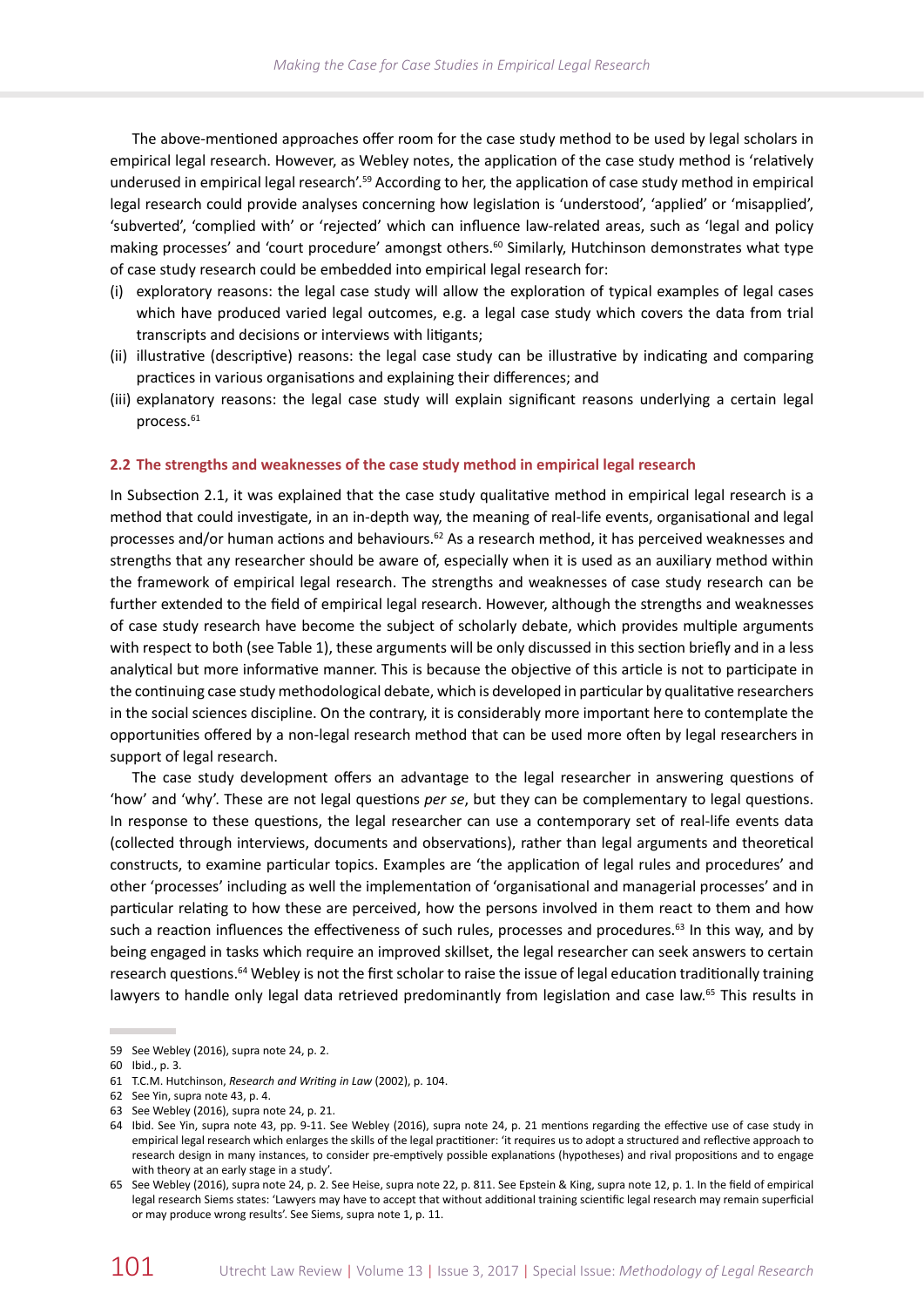The above-mentioned approaches offer room for the case study method to be used by legal scholars in empirical legal research. However, as Webley notes, the application of the case study method is 'relatively underused in empirical legal research'.59 According to her, the application of case study method in empirical legal research could provide analyses concerning how legislation is 'understood', 'applied' or 'misapplied', 'subverted', 'complied with' or 'rejected' which can influence law-related areas, such as 'legal and policy making processes' and 'court procedure' amongst others.<sup>60</sup> Similarly, Hutchinson demonstrates what type of case study research could be embedded into empirical legal research for:

- (i) exploratory reasons: the legal case study will allow the exploration of typical examples of legal cases which have produced varied legal outcomes, e.g. a legal case study which covers the data from trial transcripts and decisions or interviews with litigants;
- (ii) illustrative (descriptive) reasons: the legal case study can be illustrative by indicating and comparing practices in various organisations and explaining their differences; and
- (iii) explanatory reasons: the legal case study will explain significant reasons underlying a certain legal process.<sup>61</sup>

# **2.2 The strengths and weaknesses of the case study method in empirical legal research**

In Subsection 2.1, it was explained that the case study qualitative method in empirical legal research is a method that could investigate, in an in-depth way, the meaning of real-life events, organisational and legal processes and/or human actions and behaviours.<sup>62</sup> As a research method, it has perceived weaknesses and strengths that any researcher should be aware of, especially when it is used as an auxiliary method within the framework of empirical legal research. The strengths and weaknesses of case study research can be further extended to the field of empirical legal research. However, although the strengths and weaknesses of case study research have become the subject of scholarly debate, which provides multiple arguments with respect to both (see Table 1), these arguments will be only discussed in this section briefly and in a less analytical but more informative manner. This is because the objective of this article is not to participate in the continuing case study methodological debate, which is developed in particular by qualitative researchers in the social sciences discipline. On the contrary, it is considerably more important here to contemplate the opportunities offered by a non-legal research method that can be used more often by legal researchers in support of legal research.

The case study development offers an advantage to the legal researcher in answering questions of 'how' and 'why'. These are not legal questions *per se*, but they can be complementary to legal questions. In response to these questions, the legal researcher can use a contemporary set of real-life events data (collected through interviews, documents and observations), rather than legal arguments and theoretical constructs, to examine particular topics. Examples are 'the application of legal rules and procedures' and other 'processes' including as well the implementation of 'organisational and managerial processes' and in particular relating to how these are perceived, how the persons involved in them react to them and how such a reaction influences the effectiveness of such rules, processes and procedures.<sup>63</sup> In this way, and by being engaged in tasks which require an improved skillset, the legal researcher can seek answers to certain research questions.<sup>64</sup> Webley is not the first scholar to raise the issue of legal education traditionally training lawyers to handle only legal data retrieved predominantly from legislation and case law.<sup>65</sup> This results in

<sup>59</sup> See Webley (2016), supra note 24, p. 2.

<sup>60</sup> Ibid., p. 3.

<sup>61</sup> T.C.M. Hutchinson, *Research and Writing in Law* (2002), p. 104.

<sup>62</sup> See Yin, supra note 43, p. 4.

<sup>63</sup> See Webley (2016), supra note 24, p. 21.

<sup>64</sup> Ibid. See Yin, supra note 43, pp. 9-11. See Webley (2016), supra note 24, p. 21 mentions regarding the effective use of case study in empirical legal research which enlarges the skills of the legal practitioner: 'it requires us to adopt a structured and reflective approach to research design in many instances, to consider pre-emptively possible explanations (hypotheses) and rival propositions and to engage with theory at an early stage in a study'.

<sup>65</sup> See Webley (2016), supra note 24, p. 2. See Heise, supra note 22, p. 811. See Epstein & King, supra note 12, p. 1. In the field of empirical legal research Siems states: 'Lawyers may have to accept that without additional training scientific legal research may remain superficial or may produce wrong results'. See Siems, supra note 1, p. 11.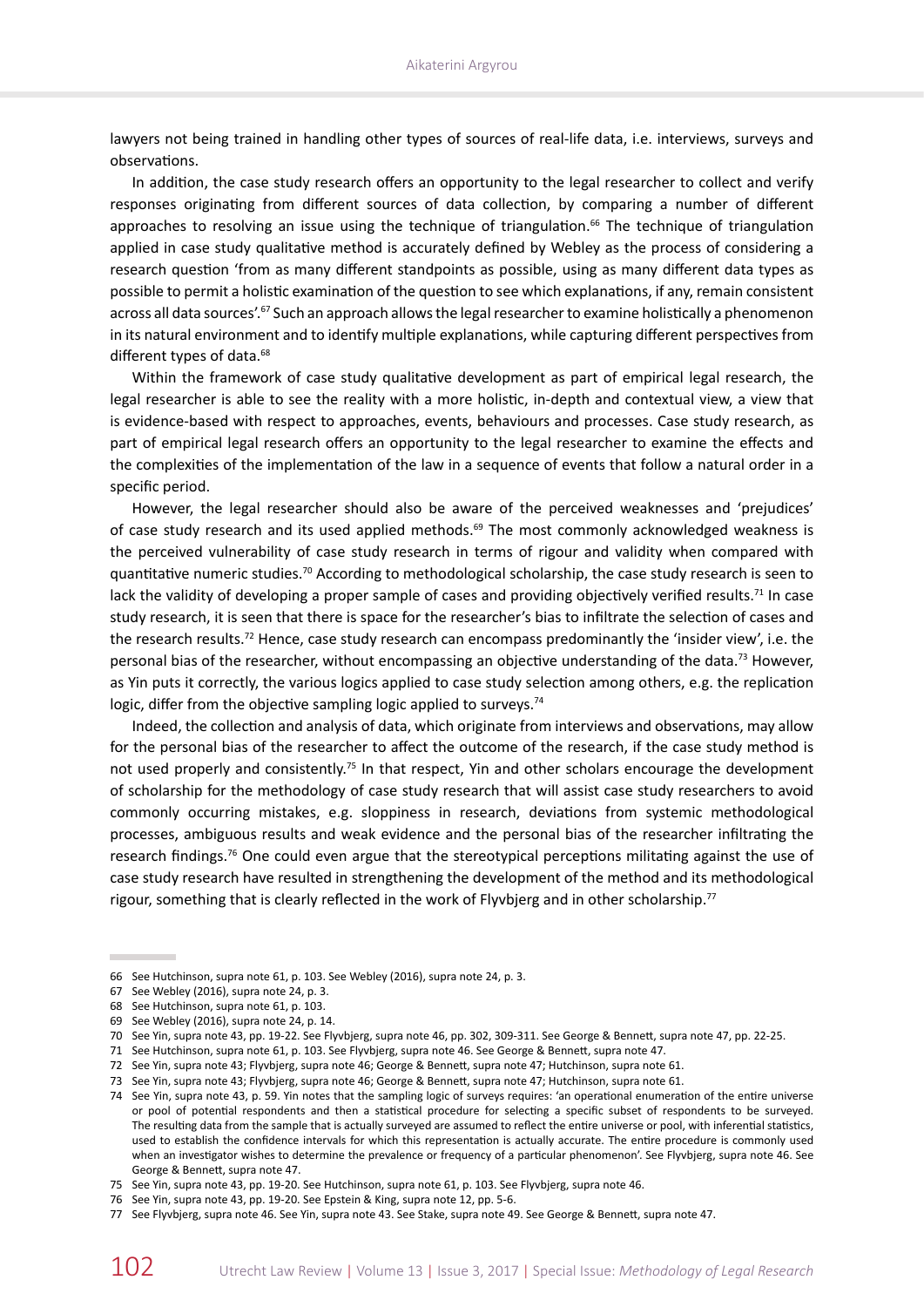lawyers not being trained in handling other types of sources of real-life data, i.e. interviews, surveys and observations.

In addition, the case study research offers an opportunity to the legal researcher to collect and verify responses originating from different sources of data collection, by comparing a number of different approaches to resolving an issue using the technique of triangulation.<sup>66</sup> The technique of triangulation applied in case study qualitative method is accurately defined by Webley as the process of considering a research question 'from as many different standpoints as possible, using as many different data types as possible to permit a holistic examination of the question to see which explanations, if any, remain consistent across all data sources'.<sup>67</sup> Such an approach allows the legal researcher to examine holistically a phenomenon in its natural environment and to identify multiple explanations, while capturing different perspectives from different types of data.<sup>68</sup>

Within the framework of case study qualitative development as part of empirical legal research, the legal researcher is able to see the reality with a more holistic, in-depth and contextual view, a view that is evidence-based with respect to approaches, events, behaviours and processes. Case study research, as part of empirical legal research offers an opportunity to the legal researcher to examine the effects and the complexities of the implementation of the law in a sequence of events that follow a natural order in a specific period.

However, the legal researcher should also be aware of the perceived weaknesses and 'prejudices' of case study research and its used applied methods.<sup>69</sup> The most commonly acknowledged weakness is the perceived vulnerability of case study research in terms of rigour and validity when compared with quantitative numeric studies.<sup>70</sup> According to methodological scholarship, the case study research is seen to lack the validity of developing a proper sample of cases and providing objectively verified results.<sup>71</sup> In case study research, it is seen that there is space for the researcher's bias to infiltrate the selection of cases and the research results.<sup>72</sup> Hence, case study research can encompass predominantly the 'insider view', i.e. the personal bias of the researcher, without encompassing an objective understanding of the data.<sup>73</sup> However, as Yin puts it correctly, the various logics applied to case study selection among others, e.g. the replication logic, differ from the objective sampling logic applied to surveys.<sup>74</sup>

Indeed, the collection and analysis of data, which originate from interviews and observations, may allow for the personal bias of the researcher to affect the outcome of the research, if the case study method is not used properly and consistently.<sup>75</sup> In that respect, Yin and other scholars encourage the development of scholarship for the methodology of case study research that will assist case study researchers to avoid commonly occurring mistakes, e.g. sloppiness in research, deviations from systemic methodological processes, ambiguous results and weak evidence and the personal bias of the researcher infiltrating the research findings.<sup>76</sup> One could even argue that the stereotypical perceptions militating against the use of case study research have resulted in strengthening the development of the method and its methodological rigour, something that is clearly reflected in the work of Flyvbjerg and in other scholarship.<sup>77</sup>

<sup>66</sup> See Hutchinson, supra note 61, p. 103. See Webley (2016), supra note 24, p. 3.

<sup>67</sup> See Webley (2016), supra note 24, p. 3.

<sup>68</sup> See Hutchinson, supra note 61, p. 103.

<sup>69</sup> See Webley (2016), supra note 24, p. 14.

<sup>70</sup> See Yin, supra note 43, pp. 19-22. See Flyvbjerg, supra note 46, pp. 302, 309-311. See George & Bennett, supra note 47, pp. 22-25.

<sup>71</sup> See Hutchinson, supra note 61, p. 103. See Flyvbjerg, supra note 46. See George & Bennett, supra note 47.

<sup>72</sup> See Yin, supra note 43; Flyvbjerg, supra note 46; George & Bennett, supra note 47; Hutchinson, supra note 61.

<sup>73</sup> See Yin, supra note 43; Flyvbjerg, supra note 46; George & Bennett, supra note 47; Hutchinson, supra note 61.

<sup>74</sup> See Yin, supra note 43, p. 59. Yin notes that the sampling logic of surveys requires: 'an operational enumeration of the entire universe or pool of potential respondents and then a statistical procedure for selecting a specific subset of respondents to be surveyed. The resulting data from the sample that is actually surveyed are assumed to reflect the entire universe or pool, with inferential statistics, used to establish the confidence intervals for which this representation is actually accurate. The entire procedure is commonly used when an investigator wishes to determine the prevalence or frequency of a particular phenomenon'. See Flyvbjerg, supra note 46. See George & Bennett, supra note 47.

<sup>75</sup> See Yin, supra note 43, pp. 19-20. See Hutchinson, supra note 61, p. 103. See Flyvbjerg, supra note 46.

<sup>76</sup> See Yin, supra note 43, pp. 19-20. See Epstein & King, supra note 12, pp. 5-6.

<sup>77</sup> See Flyvbjerg, supra note 46. See Yin, supra note 43. See Stake, supra note 49. See George & Bennett, supra note 47.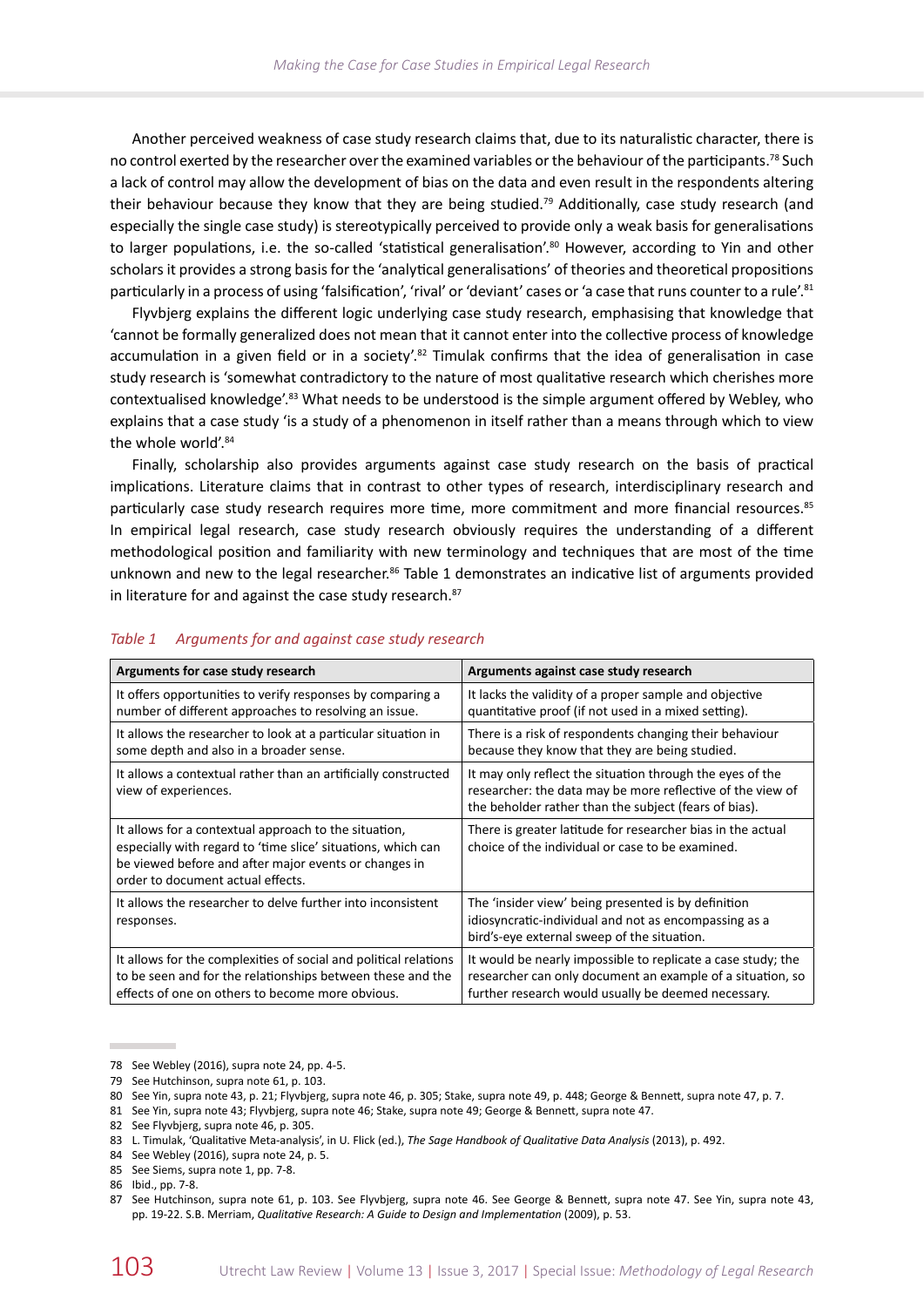Another perceived weakness of case study research claims that, due to its naturalistic character, there is no control exerted by the researcher over the examined variables or the behaviour of the participants.<sup>78</sup> Such a lack of control may allow the development of bias on the data and even result in the respondents altering their behaviour because they know that they are being studied.<sup>79</sup> Additionally, case study research (and especially the single case study) is stereotypically perceived to provide only a weak basis for generalisations to larger populations, i.e. the so-called 'statistical generalisation'.<sup>80</sup> However, according to Yin and other scholars it provides a strong basis for the 'analytical generalisations' of theories and theoretical propositions particularly in a process of using 'falsification', 'rival' or 'deviant' cases or 'a case that runs counter to a rule'.81

Flyvbjerg explains the different logic underlying case study research, emphasising that knowledge that 'cannot be formally generalized does not mean that it cannot enter into the collective process of knowledge accumulation in a given field or in a society'.<sup>82</sup> Timulak confirms that the idea of generalisation in case study research is 'somewhat contradictory to the nature of most qualitative research which cherishes more contextualised knowledge'.<sup>83</sup> What needs to be understood is the simple argument offered by Webley, who explains that a case study 'is a study of a phenomenon in itself rather than a means through which to view the whole world'.<sup>84</sup>

Finally, scholarship also provides arguments against case study research on the basis of practical implications. Literature claims that in contrast to other types of research, interdisciplinary research and particularly case study research requires more time, more commitment and more financial resources.<sup>85</sup> In empirical legal research, case study research obviously requires the understanding of a different methodological position and familiarity with new terminology and techniques that are most of the time unknown and new to the legal researcher.<sup>86</sup> Table 1 demonstrates an indicative list of arguments provided in literature for and against the case study research.<sup>87</sup>

| Arguments for case study research                                                                                                                                                                                   | Arguments against case study research                                                                                                                                             |  |  |
|---------------------------------------------------------------------------------------------------------------------------------------------------------------------------------------------------------------------|-----------------------------------------------------------------------------------------------------------------------------------------------------------------------------------|--|--|
| It offers opportunities to verify responses by comparing a<br>number of different approaches to resolving an issue.                                                                                                 | It lacks the validity of a proper sample and objective<br>quantitative proof (if not used in a mixed setting).                                                                    |  |  |
| It allows the researcher to look at a particular situation in<br>some depth and also in a broader sense.                                                                                                            | There is a risk of respondents changing their behaviour<br>because they know that they are being studied.                                                                         |  |  |
| It allows a contextual rather than an artificially constructed<br>view of experiences.                                                                                                                              | It may only reflect the situation through the eyes of the<br>researcher: the data may be more reflective of the view of<br>the beholder rather than the subject (fears of bias).  |  |  |
| It allows for a contextual approach to the situation,<br>especially with regard to 'time slice' situations, which can<br>be viewed before and after major events or changes in<br>order to document actual effects. | There is greater latitude for researcher bias in the actual<br>choice of the individual or case to be examined.                                                                   |  |  |
| It allows the researcher to delve further into inconsistent<br>responses.                                                                                                                                           | The 'insider view' being presented is by definition<br>idiosyncratic-individual and not as encompassing as a<br>bird's-eye external sweep of the situation.                       |  |  |
| It allows for the complexities of social and political relations<br>to be seen and for the relationships between these and the<br>effects of one on others to become more obvious.                                  | It would be nearly impossible to replicate a case study; the<br>researcher can only document an example of a situation, so<br>further research would usually be deemed necessary. |  |  |

## *Table 1 Arguments for and against case study research*

84 See Webley (2016), supra note 24, p. 5.

<sup>78</sup> See Webley (2016), supra note 24, pp. 4-5.

<sup>79</sup> See Hutchinson, supra note 61, p. 103.

<sup>80</sup> See Yin, supra note 43, p. 21; Flyvbjerg, supra note 46, p. 305; Stake, supra note 49, p. 448; George & Bennett, supra note 47, p. 7.

<sup>81</sup> See Yin, supra note 43; Flyvbjerg, supra note 46; Stake, supra note 49; George & Bennett, supra note 47.

<sup>82</sup> See Flyvbjerg, supra note 46, p. 305.

<sup>83</sup> L. Timulak, 'Qualitative Meta-analysis', in U. Flick (ed.), *The Sage Handbook of Qualitative Data Analysis* (2013), p. 492.

<sup>85</sup> See Siems, supra note 1, pp. 7-8.

<sup>86</sup> Ibid., pp. 7-8.

<sup>87</sup> See Hutchinson, supra note 61, p. 103. See Flyvbjerg, supra note 46. See George & Bennett, supra note 47. See Yin, supra note 43, pp. 19‑22. S.B. Merriam, *Qualitative Research: A Guide to Design and Implementation* (2009), p. 53.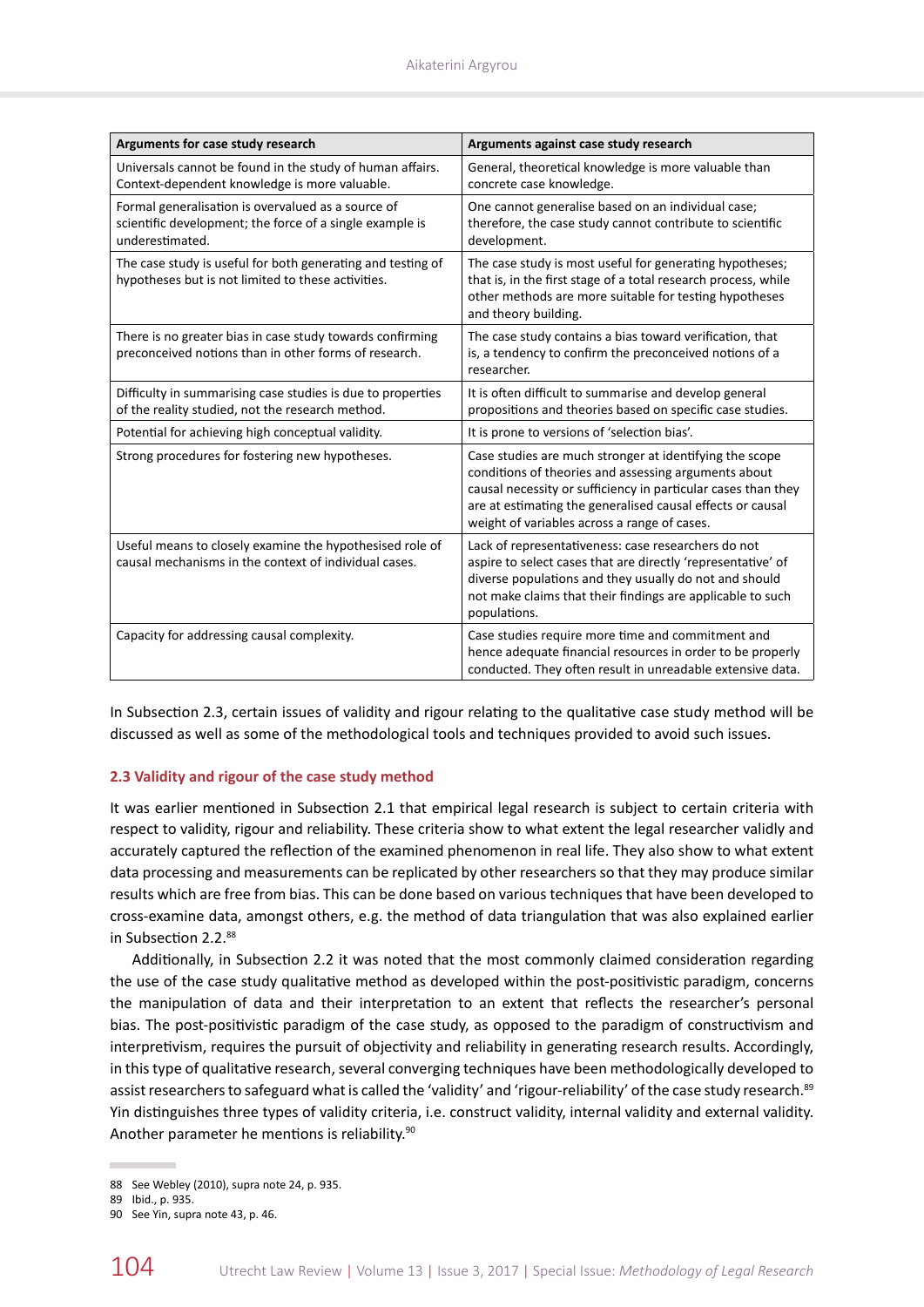| Arguments for case study research                                                                                                 | Arguments against case study research                                                                                                                                                                                                                                                          |  |  |  |
|-----------------------------------------------------------------------------------------------------------------------------------|------------------------------------------------------------------------------------------------------------------------------------------------------------------------------------------------------------------------------------------------------------------------------------------------|--|--|--|
| Universals cannot be found in the study of human affairs.<br>Context-dependent knowledge is more valuable.                        | General, theoretical knowledge is more valuable than<br>concrete case knowledge.                                                                                                                                                                                                               |  |  |  |
| Formal generalisation is overvalued as a source of<br>scientific development; the force of a single example is<br>underestimated. | One cannot generalise based on an individual case;<br>therefore, the case study cannot contribute to scientific<br>development.                                                                                                                                                                |  |  |  |
| The case study is useful for both generating and testing of<br>hypotheses but is not limited to these activities.                 | The case study is most useful for generating hypotheses;<br>that is, in the first stage of a total research process, while<br>other methods are more suitable for testing hypotheses<br>and theory building.                                                                                   |  |  |  |
| There is no greater bias in case study towards confirming<br>preconceived notions than in other forms of research.                | The case study contains a bias toward verification, that<br>is, a tendency to confirm the preconceived notions of a<br>researcher.                                                                                                                                                             |  |  |  |
| Difficulty in summarising case studies is due to properties<br>of the reality studied, not the research method.                   | It is often difficult to summarise and develop general<br>propositions and theories based on specific case studies.                                                                                                                                                                            |  |  |  |
| Potential for achieving high conceptual validity.                                                                                 | It is prone to versions of 'selection bias'.                                                                                                                                                                                                                                                   |  |  |  |
| Strong procedures for fostering new hypotheses.                                                                                   | Case studies are much stronger at identifying the scope<br>conditions of theories and assessing arguments about<br>causal necessity or sufficiency in particular cases than they<br>are at estimating the generalised causal effects or causal<br>weight of variables across a range of cases. |  |  |  |
| Useful means to closely examine the hypothesised role of<br>causal mechanisms in the context of individual cases.                 | Lack of representativeness: case researchers do not<br>aspire to select cases that are directly 'representative' of<br>diverse populations and they usually do not and should<br>not make claims that their findings are applicable to such<br>populations.                                    |  |  |  |
| Capacity for addressing causal complexity.                                                                                        | Case studies require more time and commitment and<br>hence adequate financial resources in order to be properly<br>conducted. They often result in unreadable extensive data.                                                                                                                  |  |  |  |

In Subsection 2.3, certain issues of validity and rigour relating to the qualitative case study method will be discussed as well as some of the methodological tools and techniques provided to avoid such issues.

# **2.3 Validity and rigour of the case study method**

It was earlier mentioned in Subsection 2.1 that empirical legal research is subject to certain criteria with respect to validity, rigour and reliability. These criteria show to what extent the legal researcher validly and accurately captured the reflection of the examined phenomenon in real life. They also show to what extent data processing and measurements can be replicated by other researchers so that they may produce similar results which are free from bias. This can be done based on various techniques that have been developed to cross-examine data, amongst others, e.g. the method of data triangulation that was also explained earlier in Subsection 2.2.88

Additionally, in Subsection 2.2 it was noted that the most commonly claimed consideration regarding the use of the case study qualitative method as developed within the post-positivistic paradigm, concerns the manipulation of data and their interpretation to an extent that reflects the researcher's personal bias. The post-positivistic paradigm of the case study, as opposed to the paradigm of constructivism and interpretivism, requires the pursuit of objectivity and reliability in generating research results. Accordingly, in this type of qualitative research, several converging techniques have been methodologically developed to assist researchers to safeguard what is called the 'validity' and 'rigour-reliability' of the case study research.<sup>89</sup> Yin distinguishes three types of validity criteria, i.e. construct validity, internal validity and external validity. Another parameter he mentions is reliability.<sup>90</sup>

<sup>88</sup> See Webley (2010), supra note 24, p. 935.

<sup>89</sup> Ibid., p. 935.

<sup>90</sup> See Yin, supra note 43, p. 46.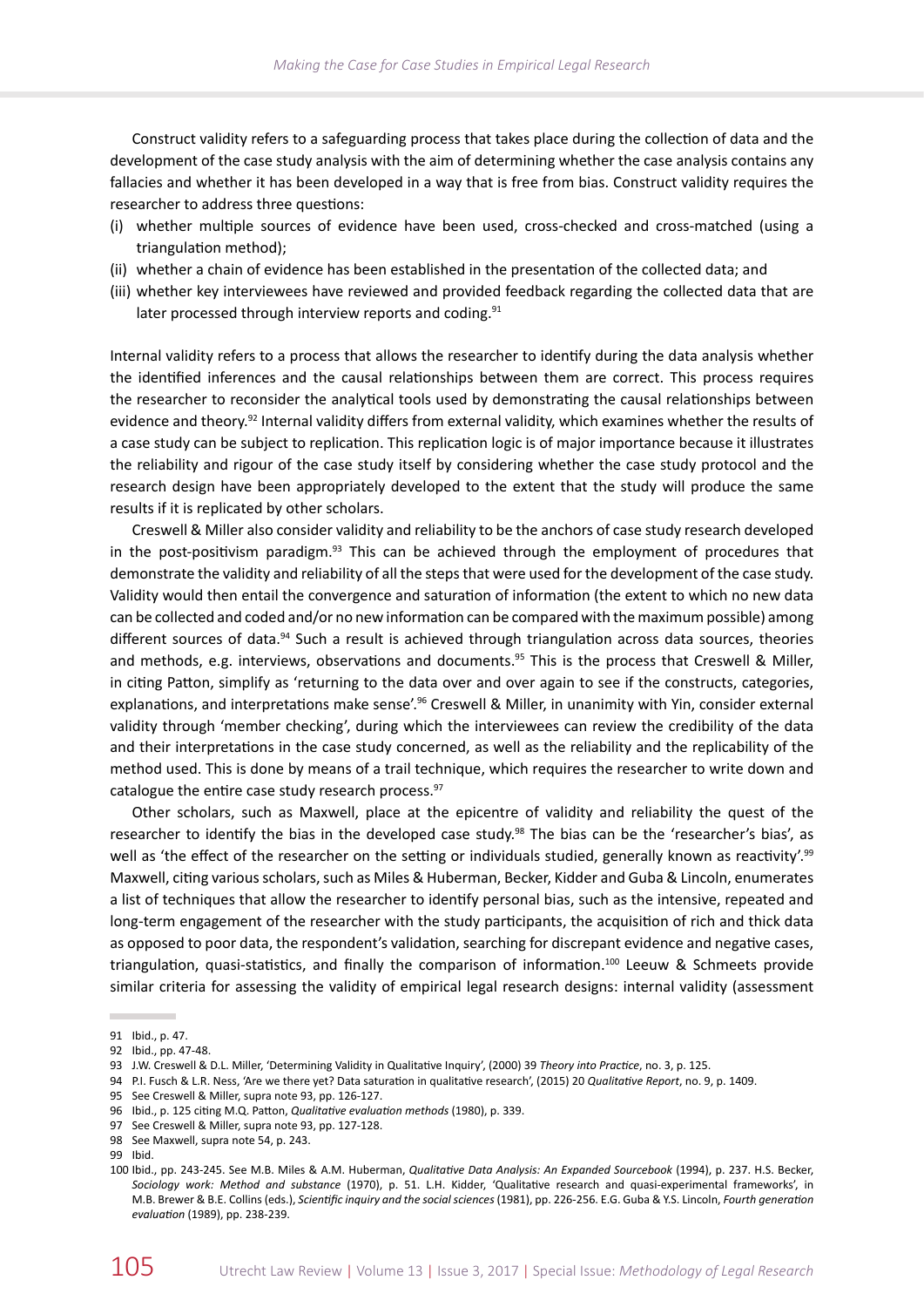Construct validity refers to a safeguarding process that takes place during the collection of data and the development of the case study analysis with the aim of determining whether the case analysis contains any fallacies and whether it has been developed in a way that is free from bias. Construct validity requires the researcher to address three questions:

- (i) whether multiple sources of evidence have been used, cross-checked and cross-matched (using a triangulation method);
- (ii) whether a chain of evidence has been established in the presentation of the collected data; and
- (iii) whether key interviewees have reviewed and provided feedback regarding the collected data that are later processed through interview reports and coding.<sup>91</sup>

Internal validity refers to a process that allows the researcher to identify during the data analysis whether the identified inferences and the causal relationships between them are correct. This process requires the researcher to reconsider the analytical tools used by demonstrating the causal relationships between evidence and theory.<sup>92</sup> Internal validity differs from external validity, which examines whether the results of a case study can be subject to replication. This replication logic is of major importance because it illustrates the reliability and rigour of the case study itself by considering whether the case study protocol and the research design have been appropriately developed to the extent that the study will produce the same results if it is replicated by other scholars.

Creswell & Miller also consider validity and reliability to be the anchors of case study research developed in the post-positivism paradigm. $93$  This can be achieved through the employment of procedures that demonstrate the validity and reliability of all the steps that were used for the development of the case study. Validity would then entail the convergence and saturation of information (the extent to which no new data can be collected and coded and/or no new information can be compared with the maximum possible) among different sources of data.<sup>94</sup> Such a result is achieved through triangulation across data sources, theories and methods, e.g. interviews, observations and documents.<sup>95</sup> This is the process that Creswell & Miller, in citing Patton, simplify as 'returning to the data over and over again to see if the constructs, categories, explanations, and interpretations make sense'.<sup>96</sup> Creswell & Miller, in unanimity with Yin, consider external validity through 'member checking', during which the interviewees can review the credibility of the data and their interpretations in the case study concerned, as well as the reliability and the replicability of the method used. This is done by means of a trail technique, which requires the researcher to write down and catalogue the entire case study research process.<sup>97</sup>

Other scholars, such as Maxwell, place at the epicentre of validity and reliability the quest of the researcher to identify the bias in the developed case study.<sup>98</sup> The bias can be the 'researcher's bias', as well as 'the effect of the researcher on the setting or individuals studied, generally known as reactivity'.<sup>99</sup> Maxwell, citing various scholars, such as Miles & Huberman, Becker, Kidder and Guba & Lincoln, enumerates a list of techniques that allow the researcher to identify personal bias, such as the intensive, repeated and long-term engagement of the researcher with the study participants, the acquisition of rich and thick data as opposed to poor data, the respondent's validation, searching for discrepant evidence and negative cases, triangulation, quasi-statistics, and finally the comparison of information.<sup>100</sup> Leeuw & Schmeets provide similar criteria for assessing the validity of empirical legal research designs: internal validity (assessment

<sup>91</sup> Ibid., p. 47.

<sup>92</sup> Ibid., pp. 47-48.

<sup>93</sup> J.W. Creswell & D.L. Miller, 'Determining Validity in Qualitative Inquiry', (2000) 39 *Theory into Practice*, no. 3, p. 125.

<sup>94</sup> P.I. Fusch & L.R. Ness, 'Are we there yet? Data saturation in qualitative research', (2015) 20 *Qualitative Report*, no. 9, p. 1409.

<sup>95</sup> See Creswell & Miller, supra note 93, pp. 126-127.

<sup>96</sup> Ibid., p. 125 citing M.Q. Patton, *Qualitative evaluation methods* (1980), p. 339.

<sup>97</sup> See Creswell & Miller, supra note 93, pp. 127-128.

<sup>98</sup> See Maxwell, supra note 54, p. 243.

<sup>99</sup> Ibid.

<sup>100</sup> Ibid., pp. 243-245. See M.B. Miles & A.M. Huberman, *Qualitative Data Analysis: An Expanded Sourcebook* (1994), p. 237. H.S. Becker, *Sociology work: Method and substance* (1970), p. 51. L.H. Kidder, 'Qualitative research and quasi-experimental frameworks', in M.B. Brewer & B.E. Collins (eds.), *Scientific inquiry and the social sciences* (1981), pp. 226-256. E.G. Guba & Y.S. Lincoln, *Fourth generation evaluation* (1989), pp. 238-239.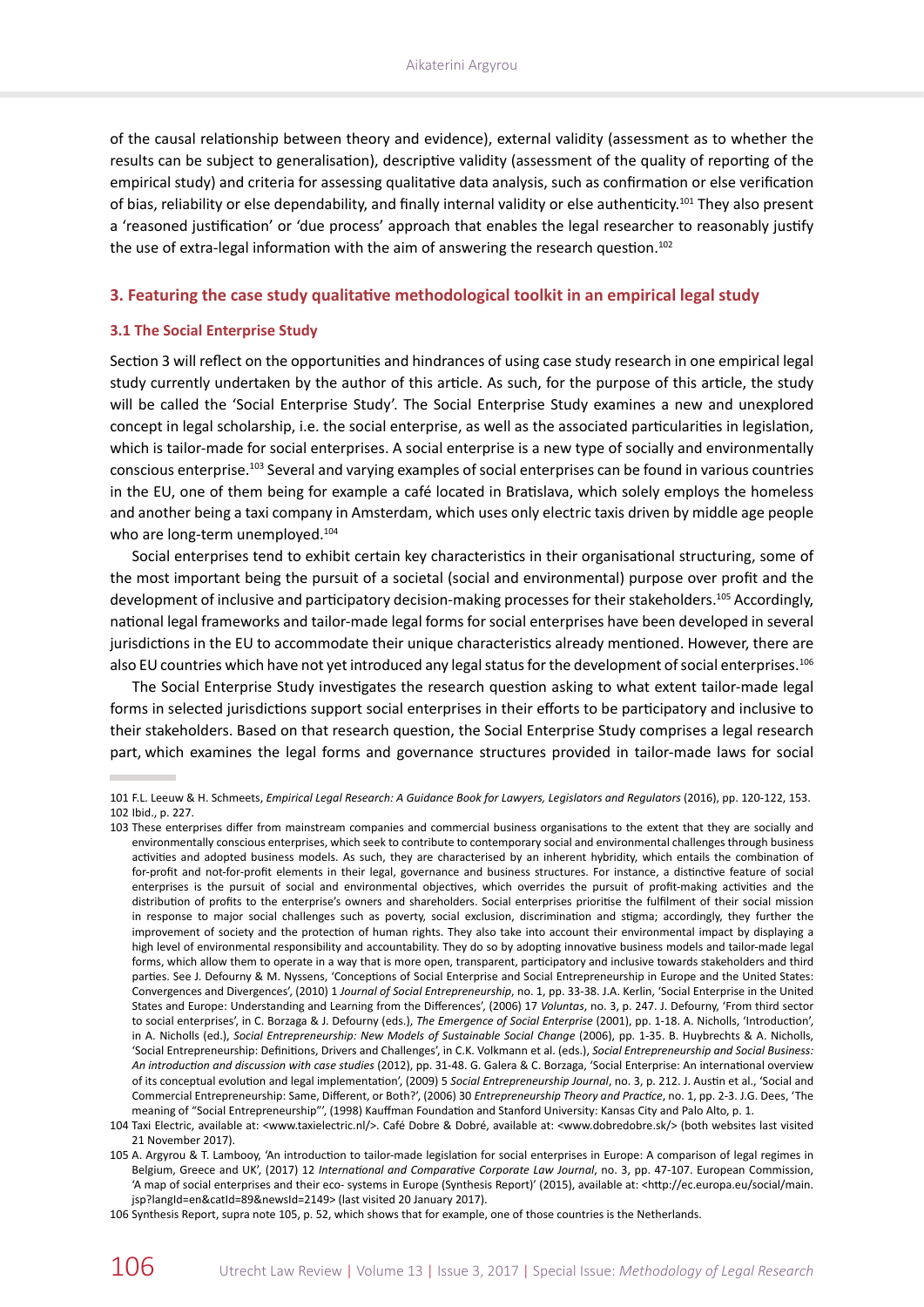of the causal relationship between theory and evidence), external validity (assessment as to whether the results can be subject to generalisation), descriptive validity (assessment of the quality of reporting of the empirical study) and criteria for assessing qualitative data analysis, such as confirmation or else verification of bias, reliability or else dependability, and finally internal validity or else authenticity.<sup>101</sup> They also present a 'reasoned justification' or 'due process' approach that enables the legal researcher to reasonably justify the use of extra-legal information with the aim of answering the research question.<sup>102</sup>

# **3. Featuring the case study qualitative methodological toolkit in an empirical legal study**

# **3.1 The Social Enterprise Study**

Section 3 will reflect on the opportunities and hindrances of using case study research in one empirical legal study currently undertaken by the author of this article. As such, for the purpose of this article, the study will be called the 'Social Enterprise Study'. The Social Enterprise Study examines a new and unexplored concept in legal scholarship, i.e. the social enterprise, as well as the associated particularities in legislation, which is tailor-made for social enterprises. A social enterprise is a new type of socially and environmentally conscious enterprise.<sup>103</sup> Several and varying examples of social enterprises can be found in various countries in the EU, one of them being for example a café located in Bratislava, which solely employs the homeless and another being a taxi company in Amsterdam, which uses only electric taxis driven by middle age people who are long-term unemployed.<sup>104</sup>

Social enterprises tend to exhibit certain key characteristics in their organisational structuring, some of the most important being the pursuit of a societal (social and environmental) purpose over profit and the development of inclusive and participatory decision-making processes for their stakeholders.105 Accordingly, national legal frameworks and tailor-made legal forms for social enterprises have been developed in several jurisdictions in the EU to accommodate their unique characteristics already mentioned. However, there are also EU countries which have not yet introduced any legal status for the development of social enterprises.<sup>106</sup>

The Social Enterprise Study investigates the research question asking to what extent tailor-made legal forms in selected jurisdictions support social enterprises in their efforts to be participatory and inclusive to their stakeholders. Based on that research question, the Social Enterprise Study comprises a legal research part, which examines the legal forms and governance structures provided in tailor-made laws for social

106 Synthesis Report, supra note 105, p. 52, which shows that for example, one of those countries is the Netherlands.

<sup>101</sup> F.L. Leeuw & H. Schmeets, *Empirical Legal Research: A Guidance Book for Lawyers, Legislators and Regulators* (2016), pp. 120-122, 153. 102 Ibid., p. 227.

<sup>103</sup> These enterprises differ from mainstream companies and commercial business organisations to the extent that they are socially and environmentally conscious enterprises, which seek to contribute to contemporary social and environmental challenges through business activities and adopted business models. As such, they are characterised by an inherent hybridity, which entails the combination of for-profit and not-for-profit elements in their legal, governance and business structures. For instance, a distinctive feature of social enterprises is the pursuit of social and environmental objectives, which overrides the pursuit of profit-making activities and the distribution of profits to the enterprise's owners and shareholders. Social enterprises prioritise the fulfilment of their social mission in response to major social challenges such as poverty, social exclusion, discrimination and stigma; accordingly, they further the improvement of society and the protection of human rights. They also take into account their environmental impact by displaying a high level of environmental responsibility and accountability. They do so by adopting innovative business models and tailor-made legal forms, which allow them to operate in a way that is more open, transparent, participatory and inclusive towards stakeholders and third parties. See J. Defourny & M. Nyssens, 'Conceptions of Social Enterprise and Social Entrepreneurship in Europe and the United States: Convergences and Divergences', (2010) 1 *Journal of Social Entrepreneurship*, no. 1, pp. 33-38. J.A. Kerlin, 'Social Enterprise in the United States and Europe: Understanding and Learning from the Differences', (2006) 17 *Voluntas*, no. 3, p. 247. J. Defourny, 'From third sector to social enterprises', in C. Borzaga & J. Defourny (eds.), *The Emergence of Social Enterprise* (2001), pp. 1-18. A. Nicholls, 'Introduction', in A. Nicholls (ed.), *Social Entrepreneurship: New Models of Sustainable Social Change* (2006), pp. 1-35. B. Huybrechts & A. Nicholls, 'Social Entrepreneurship: Definitions, Drivers and Challenges', in C.K. Volkmann et al. (eds.), *Social Entrepreneurship and Social Business: An introduction and discussion with case studies* (2012), pp. 31-48. G. Galera & C. Borzaga, 'Social Enterprise: An international overview of its conceptual evolution and legal implementation', (2009) 5 *Social Entrepreneurship Journal*, no. 3, p. 212. J. Austin et al., 'Social and Commercial Entrepreneurship: Same, Different, or Both?', (2006) 30 *Entrepreneurship Theory and Practice*, no. 1, pp. 2-3. J.G. Dees, 'The meaning of "Social Entrepreneurship"', (1998) Kauffman Foundation and Stanford University: Kansas City and Palo Alto, p. 1.

<sup>104</sup> Taxi Electric, available at: [<www.taxielectric.nl](www.taxielectric.nl)/>. Café Dobre & Dobré, available at: [<www.dobredobre.sk](www.dobredobre.sk)/> (both websites last visited 21 November 2017).

<sup>105</sup> A. Argyrou & T. Lambooy, 'An introduction to tailor-made legislation for social enterprises in Europe: A comparison of legal regimes in Belgium, Greece and UK', (2017) 12 *International and Comparative Corporate Law Journal*, no. 3, pp. 47-107. European Commission, 'A map of social enterprises and their eco- systems in Europe (Synthesis Report)' (2015), available at: <[http://ec.europa.eu/social/main.](http://ec.europa.eu/social/main.jsp?langId=en&catId=89&newsId=2149) [jsp?langId=en&catId=89&newsId=2149](http://ec.europa.eu/social/main.jsp?langId=en&catId=89&newsId=2149)> (last visited 20 January 2017).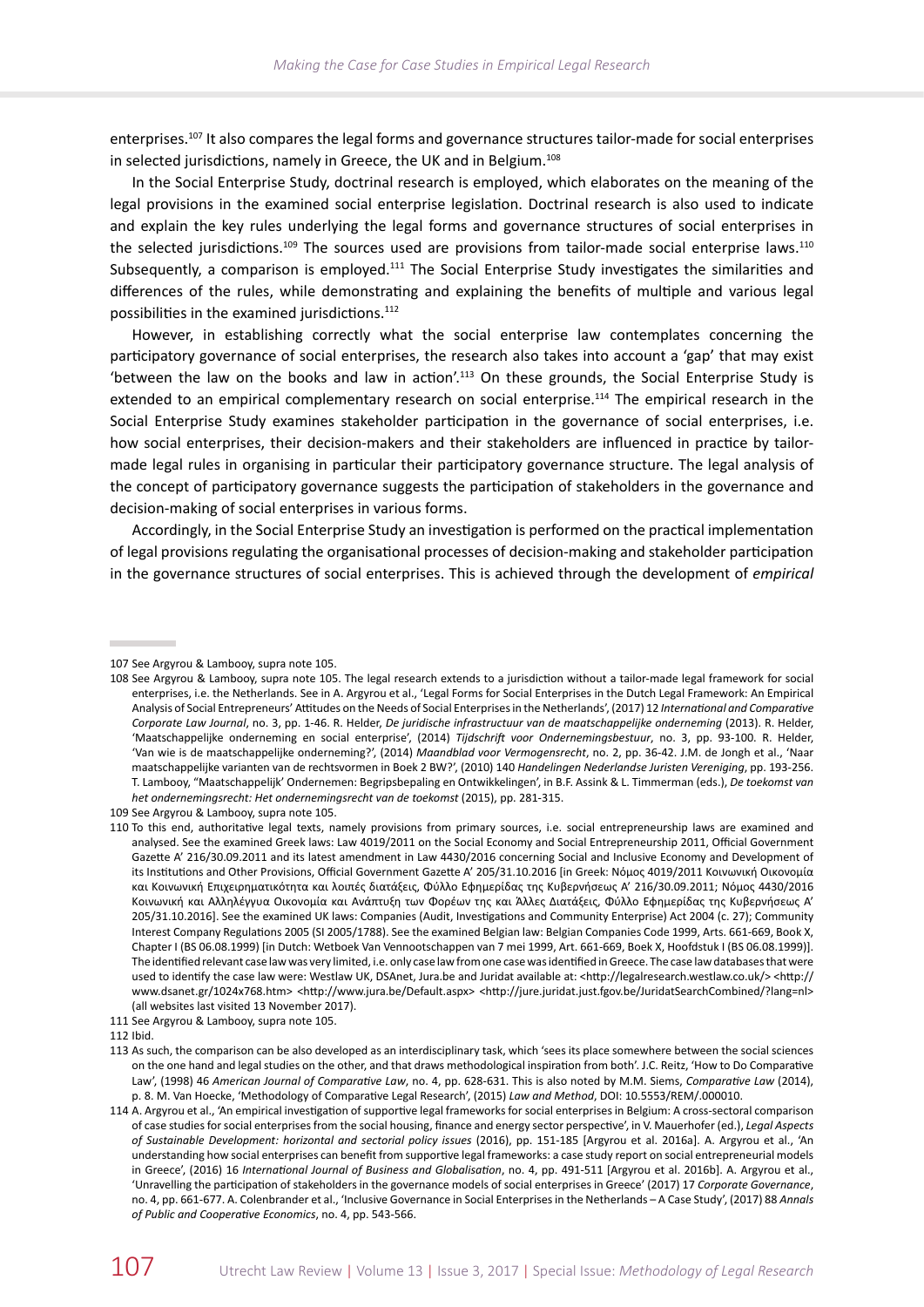enterprises.<sup>107</sup> It also compares the legal forms and governance structures tailor-made for social enterprises in selected jurisdictions, namely in Greece, the UK and in Belgium.<sup>108</sup>

In the Social Enterprise Study, doctrinal research is employed, which elaborates on the meaning of the legal provisions in the examined social enterprise legislation. Doctrinal research is also used to indicate and explain the key rules underlying the legal forms and governance structures of social enterprises in the selected jurisdictions.<sup>109</sup> The sources used are provisions from tailor-made social enterprise laws.<sup>110</sup> Subsequently, a comparison is employed.<sup>111</sup> The Social Enterprise Study investigates the similarities and differences of the rules, while demonstrating and explaining the benefits of multiple and various legal possibilities in the examined jurisdictions.<sup>112</sup>

However, in establishing correctly what the social enterprise law contemplates concerning the participatory governance of social enterprises, the research also takes into account a 'gap' that may exist 'between the law on the books and law in action'.<sup>113</sup> On these grounds, the Social Enterprise Study is extended to an empirical complementary research on social enterprise.<sup>114</sup> The empirical research in the Social Enterprise Study examines stakeholder participation in the governance of social enterprises, i.e. how social enterprises, their decision-makers and their stakeholders are influenced in practice by tailormade legal rules in organising in particular their participatory governance structure. The legal analysis of the concept of participatory governance suggests the participation of stakeholders in the governance and decision-making of social enterprises in various forms.

Accordingly, in the Social Enterprise Study an investigation is performed on the practical implementation of legal provisions regulating the organisational processes of decision-making and stakeholder participation in the governance structures of social enterprises. This is achieved through the development of *empirical* 

<sup>107</sup> See Argyrou & Lambooy, supra note 105.

<sup>108</sup> See Argyrou & Lambooy, supra note 105. The legal research extends to a jurisdiction without a tailor-made legal framework for social enterprises, i.e. the Netherlands. See in A. Argyrou et al., 'Legal Forms for Social Enterprises in the Dutch Legal Framework: An Empirical Analysis of Social Entrepreneurs' Attitudes on the Needs of Social Enterprises in the Netherlands', (2017) 12 *International and Comparative Corporate Law Journal*, no. 3, pp. 1-46. R. Helder, *De juridische infrastructuur van de maatschappelijke onderneming* (2013). R. Helder, 'Maatschappelijke onderneming en social enterprise', (2014) *Tijdschrift voor Ondernemingsbestuur*, no. 3, pp. 93-100. R. Helder, 'Van wie is de maatschappelijke onderneming?', (2014) *Maandblad voor Vermogensrecht*, no. 2, pp. 36-42. J.M. de Jongh et al., 'Naar maatschappelijke varianten van de rechtsvormen in Boek 2 BW?', (2010) 140 *Handelingen Nederlandse Juristen Vereniging*, pp. 193‑256. T. Lambooy, "Maatschappelijk' Ondernemen: Begripsbepaling en Ontwikkelingen', in B.F. Assink & L. Timmerman (eds.), *De toekomst van het ondernemingsrecht: Het ondernemingsrecht van de toekomst* (2015), pp. 281-315.

<sup>109</sup> See Argyrou & Lambooy, supra note 105.

<sup>110</sup> To this end, authoritative legal texts, namely provisions from primary sources, i.e. social entrepreneurship laws are examined and analysed. See the examined Greek laws: Law 4019/2011 on the Social Economy and Social Entrepreneurship 2011, Official Government Gazette A' 216/30.09.2011 and its latest amendment in Law 4430/2016 concerning Social and Inclusive Economy and Development of its Institutions and Other Provisions, Official Government Gazette Α' 205/31.10.2016 [in Greek: Νόμος 4019/2011 Κοινωνική Οικονομία και Κοινωνική Επιχειρηματικότητα και λοιπές διατάξεις, Φύλλο Εφημερίδας της Κυβερνήσεως A' 216/30.09.2011; Νόμος 4430/2016 Κοινωνική και Αλληλέγγυα Οικονομία και Ανάπτυξη των Φορέων της και Άλλες Διατάξεις, Φύλλο Εφημερίδας της Κυβερνήσεως Α' 205/31.10.2016]. See the examined UK laws: Companies (Audit, Investigations and Community Enterprise) Act 2004 (c. 27); Community Interest Company Regulations 2005 (SI 2005/1788). See the examined Belgian law: Belgian Companies Code 1999, Arts. 661-669, Book X, Chapter I (BS 06.08.1999) [in Dutch: Wetboek Van Vennootschappen van 7 mei 1999, Art. 661-669, Boek X, Hoofdstuk I (BS 06.08.1999)]. The identified relevant case law was very limited, i.e. only case law from one case was identified in Greece. The case law databases that were used to identify the case law were: Westlaw UK, DSAnet,<Jura.be> and Juridat available at: <[http://legalresearch.westlaw.co.uk/](http://legalresearch.westlaw.co.uk)> <[http://](http://www.dsanet.gr/1024x768.htm) [www.dsanet.gr/1024x768.htm>](http://www.dsanet.gr/1024x768.htm) <<http://www.jura.be/Default.aspx>> [<http://jure.juridat.just.fgov.be/JuridatSearchCombined/?lang=nl](http://jure.juridat.just.fgov.be/JuridatSearchCombined/?lang=nl)> (all websites last visited 13 November 2017).

<sup>111</sup> See Argyrou & Lambooy, supra note 105.

<sup>112</sup> Ibid.

<sup>113</sup> As such, the comparison can be also developed as an interdisciplinary task, which 'sees its place somewhere between the social sciences on the one hand and legal studies on the other, and that draws methodological inspiration from both'. J.C. Reitz, 'How to Do Comparative Law', (1998) 46 *American Journal of Comparative Law*, no. 4, pp. 628-631. This is also noted by M.M. Siems, *Comparative Law* (2014), p. 8. M. Van Hoecke, 'Methodology of Comparative Legal Research', (2015) *Law and Method*, <DOI: 10.5553/REM/.000010.>

<sup>114</sup> A. Argyrou et al., 'An empirical investigation of supportive legal frameworks for social enterprises in Belgium: A cross-sectoral comparison of case studies for social enterprises from the social housing, finance and energy sector perspective', in V. Mauerhofer (ed.), *Legal Aspects of Sustainable Development: horizontal and sectorial policy issues* (2016), pp. 151-185 [Argyrou et al. 2016a]. A. Argyrou et al., 'An understanding how social enterprises can benefit from supportive legal frameworks: a case study report on social entrepreneurial models in Greece', (2016) 16 *International Journal of Business and Globalisation*, no. 4, pp. 491-511 [Argyrou et al. 2016b]. A. Argyrou et al., 'Unravelling the participation of stakeholders in the governance models of social enterprises in Greece' (2017) 17 *Corporate Governance*, no. 4, pp. 661-677. A. Colenbrander et al., 'Inclusive Governance in Social Enterprises in the Netherlands – A Case Study', (2017) 88 *Annals of Public and Cooperative Economics*, no. 4, pp. 543-566.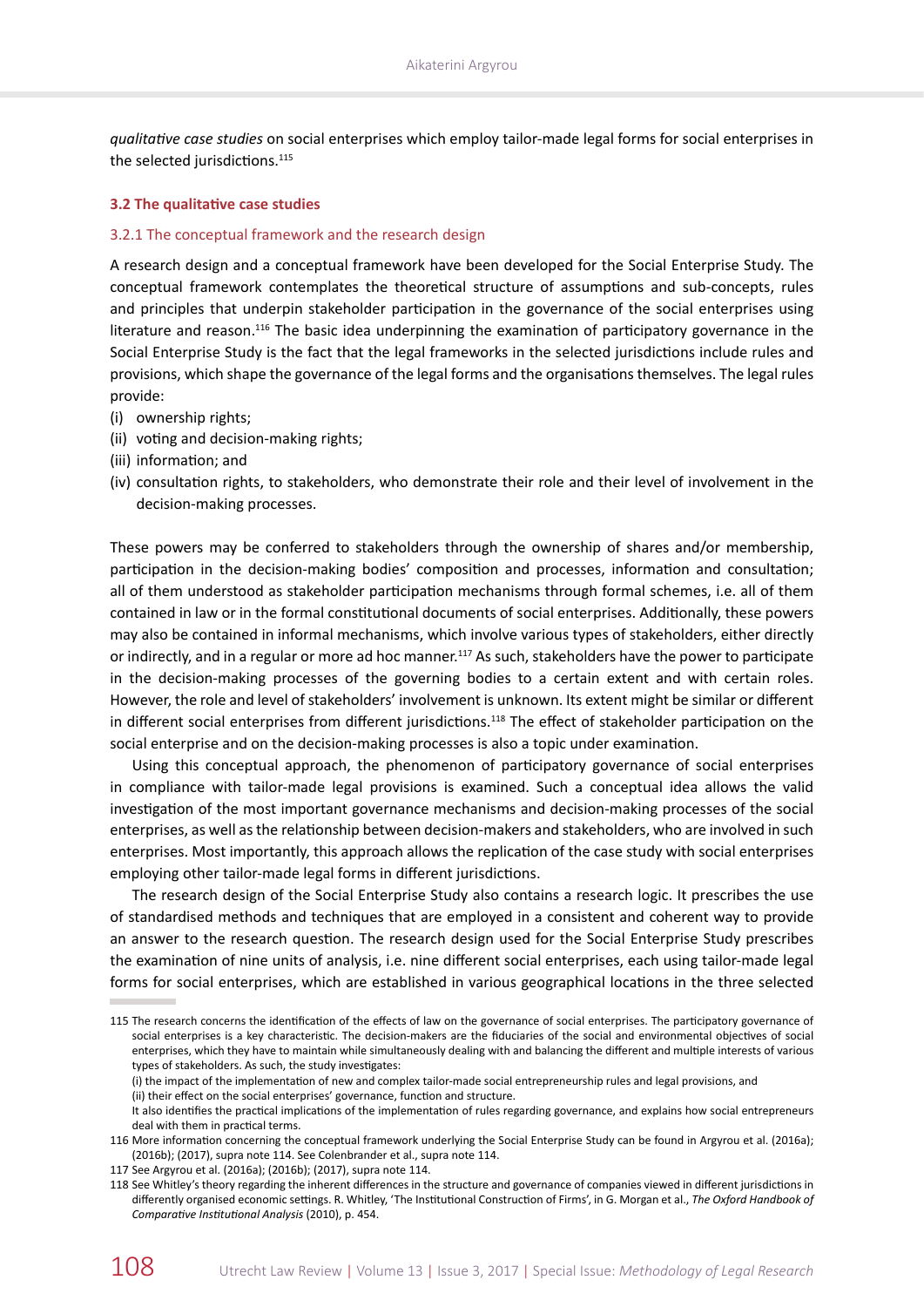*qualitative case studies* on social enterprises which employ tailor-made legal forms for social enterprises in the selected jurisdictions.<sup>115</sup>

#### **3.2 The qualitative case studies**

#### 3.2.1 The conceptual framework and the research design

A research design and a conceptual framework have been developed for the Social Enterprise Study. The conceptual framework contemplates the theoretical structure of assumptions and sub-concepts, rules and principles that underpin stakeholder participation in the governance of the social enterprises using literature and reason.<sup>116</sup> The basic idea underpinning the examination of participatory governance in the Social Enterprise Study is the fact that the legal frameworks in the selected jurisdictions include rules and provisions, which shape the governance of the legal forms and the organisations themselves. The legal rules provide:

- (i) ownership rights;
- (ii) voting and decision-making rights;
- (iii) information; and
- (iv) consultation rights, to stakeholders, who demonstrate their role and their level of involvement in the decision-making processes.

These powers may be conferred to stakeholders through the ownership of shares and/or membership, participation in the decision-making bodies' composition and processes, information and consultation; all of them understood as stakeholder participation mechanisms through formal schemes, i.e. all of them contained in law or in the formal constitutional documents of social enterprises. Additionally, these powers may also be contained in informal mechanisms, which involve various types of stakeholders, either directly or indirectly, and in a regular or more ad hoc manner.<sup>117</sup> As such, stakeholders have the power to participate in the decision-making processes of the governing bodies to a certain extent and with certain roles. However, the role and level of stakeholders' involvement is unknown. Its extent might be similar or different in different social enterprises from different jurisdictions.<sup>118</sup> The effect of stakeholder participation on the social enterprise and on the decision-making processes is also a topic under examination.

Using this conceptual approach, the phenomenon of participatory governance of social enterprises in compliance with tailor-made legal provisions is examined. Such a conceptual idea allows the valid investigation of the most important governance mechanisms and decision-making processes of the social enterprises, as well as the relationship between decision-makers and stakeholders, who are involved in such enterprises. Most importantly, this approach allows the replication of the case study with social enterprises employing other tailor-made legal forms in different jurisdictions.

The research design of the Social Enterprise Study also contains a research logic. It prescribes the use of standardised methods and techniques that are employed in a consistent and coherent way to provide an answer to the research question. The research design used for the Social Enterprise Study prescribes the examination of nine units of analysis, i.e. nine different social enterprises, each using tailor-made legal forms for social enterprises, which are established in various geographical locations in the three selected

<sup>115</sup> The research concerns the identification of the effects of law on the governance of social enterprises. The participatory governance of social enterprises is a key characteristic. The decision-makers are the fiduciaries of the social and environmental objectives of social enterprises, which they have to maintain while simultaneously dealing with and balancing the different and multiple interests of various types of stakeholders. As such, the study investigates:

<sup>(</sup>i) the impact of the implementation of new and complex tailor-made social entrepreneurship rules and legal provisions, and (ii) their effect on the social enterprises' governance, function and structure.

It also identifies the practical implications of the implementation of rules regarding governance, and explains how social entrepreneurs deal with them in practical terms.

<sup>116</sup> More information concerning the conceptual framework underlying the Social Enterprise Study can be found in Argyrou et al. (2016a); (2016b); (2017), supra note 114. See Colenbrander et al., supra note 114.

<sup>117</sup> See Argyrou et al. (2016a); (2016b); (2017), supra note 114.

<sup>118</sup> See Whitley's theory regarding the inherent differences in the structure and governance of companies viewed in different jurisdictions in differently organised economic settings. R. Whitley, 'The Institutional Construction of Firms', in G. Morgan et al., *The Oxford Handbook of Comparative Institutional Analysis* (2010), p. 454.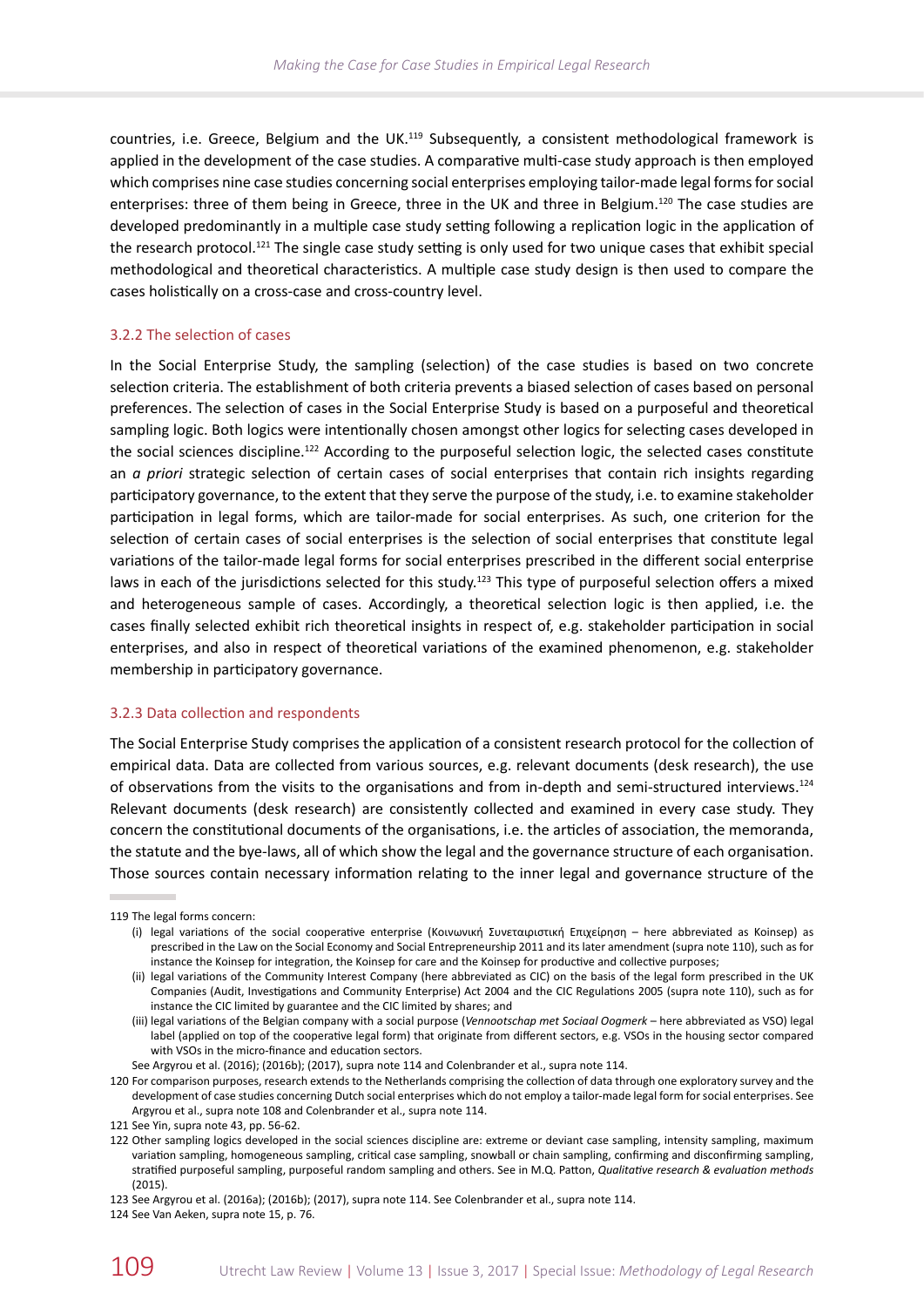countries, i.e. Greece, Belgium and the UK.119 Subsequently, a consistent methodological framework is applied in the development of the case studies. A comparative multi-case study approach is then employed which comprises nine case studies concerning social enterprises employing tailor-made legal forms for social enterprises: three of them being in Greece, three in the UK and three in Belgium.<sup>120</sup> The case studies are developed predominantly in a multiple case study setting following a replication logic in the application of the research protocol.<sup>121</sup> The single case study setting is only used for two unique cases that exhibit special methodological and theoretical characteristics. A multiple case study design is then used to compare the cases holistically on a cross-case and cross-country level.

# 3.2.2 The selection of cases

In the Social Enterprise Study, the sampling (selection) of the case studies is based on two concrete selection criteria. The establishment of both criteria prevents a biased selection of cases based on personal preferences. The selection of cases in the Social Enterprise Study is based on a purposeful and theoretical sampling logic. Both logics were intentionally chosen amongst other logics for selecting cases developed in the social sciences discipline.<sup>122</sup> According to the purposeful selection logic, the selected cases constitute an *a priori* strategic selection of certain cases of social enterprises that contain rich insights regarding participatory governance, to the extent that they serve the purpose of the study, i.e. to examine stakeholder participation in legal forms, which are tailor-made for social enterprises. As such, one criterion for the selection of certain cases of social enterprises is the selection of social enterprises that constitute legal variations of the tailor-made legal forms for social enterprises prescribed in the different social enterprise laws in each of the jurisdictions selected for this study.<sup>123</sup> This type of purposeful selection offers a mixed and heterogeneous sample of cases. Accordingly, a theoretical selection logic is then applied, i.e. the cases finally selected exhibit rich theoretical insights in respect of, e.g. stakeholder participation in social enterprises, and also in respect of theoretical variations of the examined phenomenon, e.g. stakeholder membership in participatory governance.

#### 3.2.3 Data collection and respondents

The Social Enterprise Study comprises the application of a consistent research protocol for the collection of empirical data. Data are collected from various sources, e.g. relevant documents (desk research), the use of observations from the visits to the organisations and from in-depth and semi-structured interviews.124 Relevant documents (desk research) are consistently collected and examined in every case study. They concern the constitutional documents of the organisations, i.e. the articles of association, the memoranda, the statute and the bye-laws, all of which show the legal and the governance structure of each organisation. Those sources contain necessary information relating to the inner legal and governance structure of the

<sup>119</sup> The legal forms concern:

<sup>(</sup>i) legal variations of the social cooperative enterprise (Κοινωνική Συνεταιριστική Επιχείρηση – here abbreviated as Koinsep) as prescribed in the Law on the Social Economy and Social Entrepreneurship 2011 and its later amendment (supra note 110), such as for instance the Koinsep for integration, the Koinsep for care and the Koinsep for productive and collective purposes;

<sup>(</sup>ii) legal variations of the Community Interest Company (here abbreviated as CIC) on the basis of the legal form prescribed in the UK Companies (Audit, Investigations and Community Enterprise) Act 2004 and the CIC Regulations 2005 (supra note 110), such as for instance the CIC limited by guarantee and the CIC limited by shares; and

<sup>(</sup>iii) legal variations of the Belgian company with a social purpose (*Vennootschap met Sociaal Oogmerk* – here abbreviated as VSO) legal label (applied on top of the cooperative legal form) that originate from different sectors, e.g. VSOs in the housing sector compared with VSOs in the micro-finance and education sectors.

See Argyrou et al. (2016); (2016b); (2017), supra note 114 and Colenbrander et al., supra note 114.

<sup>120</sup> For comparison purposes, research extends to the Netherlands comprising the collection of data through one exploratory survey and the development of case studies concerning Dutch social enterprises which do not employ a tailor-made legal form for social enterprises. See Argyrou et al., supra note 108 and Colenbrander et al., supra note 114.

<sup>121</sup> See Yin, supra note 43, pp. 56-62.

<sup>122</sup> Other sampling logics developed in the social sciences discipline are: extreme or deviant case sampling, intensity sampling, maximum variation sampling, homogeneous sampling, critical case sampling, snowball or chain sampling, confirming and disconfirming sampling, stratified purposeful sampling, purposeful random sampling and others. See in M.Q. Patton, *Qualitative research & evaluation methods* (2015).

<sup>123</sup> See Argyrou et al. (2016a); (2016b); (2017), supra note 114. See Colenbrander et al., supra note 114.

<sup>124</sup> See Van Aeken, supra note 15, p. 76.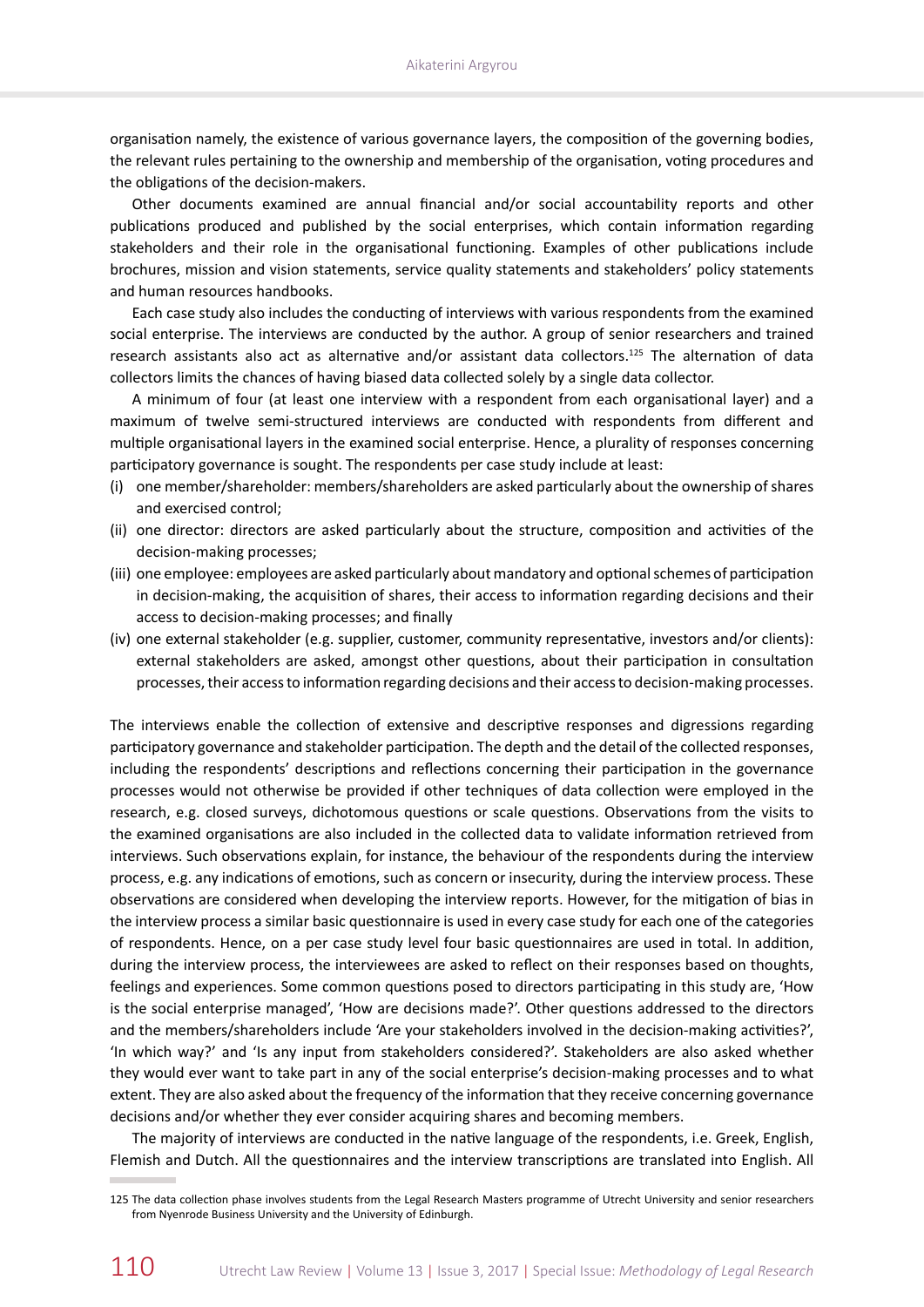organisation namely, the existence of various governance layers, the composition of the governing bodies, the relevant rules pertaining to the ownership and membership of the organisation, voting procedures and the obligations of the decision-makers.

Other documents examined are annual financial and/or social accountability reports and other publications produced and published by the social enterprises, which contain information regarding stakeholders and their role in the organisational functioning. Examples of other publications include brochures, mission and vision statements, service quality statements and stakeholders' policy statements and human resources handbooks.

Each case study also includes the conducting of interviews with various respondents from the examined social enterprise. The interviews are conducted by the author. A group of senior researchers and trained research assistants also act as alternative and/or assistant data collectors.125 The alternation of data collectors limits the chances of having biased data collected solely by a single data collector.

A minimum of four (at least one interview with a respondent from each organisational layer) and a maximum of twelve semi-structured interviews are conducted with respondents from different and multiple organisational layers in the examined social enterprise. Hence, a plurality of responses concerning participatory governance is sought. The respondents per case study include at least:

- (i) one member/shareholder: members/shareholders are asked particularly about the ownership of shares and exercised control;
- (ii) one director: directors are asked particularly about the structure, composition and activities of the decision-making processes;
- (iii) one employee: employees are asked particularly about mandatory and optional schemes of participation in decision-making, the acquisition of shares, their access to information regarding decisions and their access to decision-making processes; and finally
- (iv) one external stakeholder (e.g. supplier, customer, community representative, investors and/or clients): external stakeholders are asked, amongst other questions, about their participation in consultation processes, their access to information regarding decisions and their access to decision-making processes.

The interviews enable the collection of extensive and descriptive responses and digressions regarding participatory governance and stakeholder participation. The depth and the detail of the collected responses, including the respondents' descriptions and reflections concerning their participation in the governance processes would not otherwise be provided if other techniques of data collection were employed in the research, e.g. closed surveys, dichotomous questions or scale questions. Observations from the visits to the examined organisations are also included in the collected data to validate information retrieved from interviews. Such observations explain, for instance, the behaviour of the respondents during the interview process, e.g. any indications of emotions, such as concern or insecurity, during the interview process. These observations are considered when developing the interview reports. However, for the mitigation of bias in the interview process a similar basic questionnaire is used in every case study for each one of the categories of respondents. Hence, on a per case study level four basic questionnaires are used in total. In addition, during the interview process, the interviewees are asked to reflect on their responses based on thoughts, feelings and experiences. Some common questions posed to directors participating in this study are, 'How is the social enterprise managed', 'How are decisions made?'. Other questions addressed to the directors and the members/shareholders include 'Are your stakeholders involved in the decision-making activities?', 'In which way?' and 'Is any input from stakeholders considered?'. Stakeholders are also asked whether they would ever want to take part in any of the social enterprise's decision-making processes and to what extent. They are also asked about the frequency of the information that they receive concerning governance decisions and/or whether they ever consider acquiring shares and becoming members.

The majority of interviews are conducted in the native language of the respondents, i.e. Greek, English, Flemish and Dutch. All the questionnaires and the interview transcriptions are translated into English. All

<sup>125</sup> The data collection phase involves students from the Legal Research Masters programme of Utrecht University and senior researchers from Nyenrode Business University and the University of Edinburgh.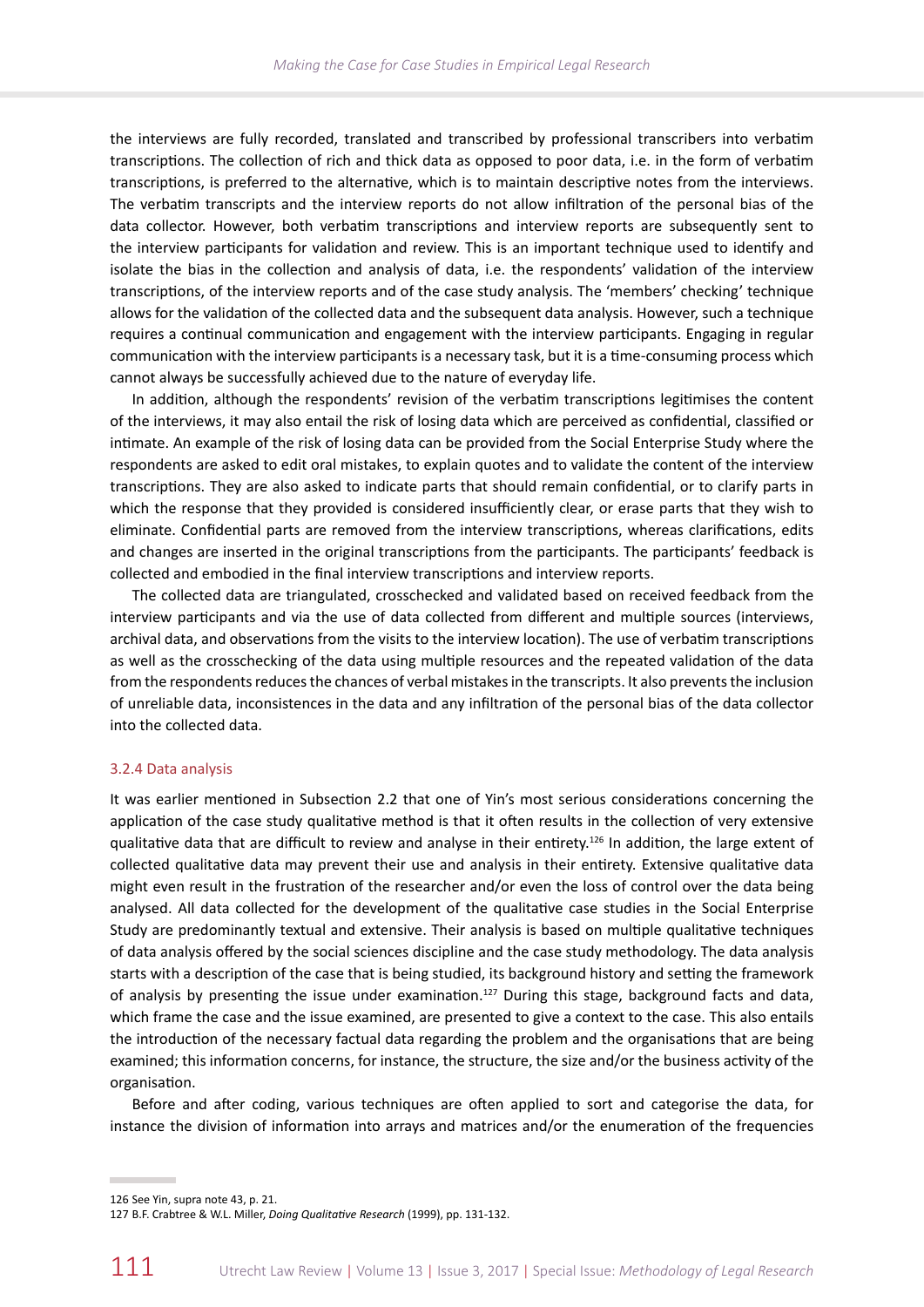the interviews are fully recorded, translated and transcribed by professional transcribers into verbatim transcriptions. The collection of rich and thick data as opposed to poor data, i.e. in the form of verbatim transcriptions, is preferred to the alternative, which is to maintain descriptive notes from the interviews. The verbatim transcripts and the interview reports do not allow infiltration of the personal bias of the data collector. However, both verbatim transcriptions and interview reports are subsequently sent to the interview participants for validation and review. This is an important technique used to identify and isolate the bias in the collection and analysis of data, i.e. the respondents' validation of the interview transcriptions, of the interview reports and of the case study analysis. The 'members' checking' technique allows for the validation of the collected data and the subsequent data analysis. However, such a technique requires a continual communication and engagement with the interview participants. Engaging in regular communication with the interview participants is a necessary task, but it is a time-consuming process which cannot always be successfully achieved due to the nature of everyday life.

In addition, although the respondents' revision of the verbatim transcriptions legitimises the content of the interviews, it may also entail the risk of losing data which are perceived as confidential, classified or intimate. An example of the risk of losing data can be provided from the Social Enterprise Study where the respondents are asked to edit oral mistakes, to explain quotes and to validate the content of the interview transcriptions. They are also asked to indicate parts that should remain confidential, or to clarify parts in which the response that they provided is considered insufficiently clear, or erase parts that they wish to eliminate. Confidential parts are removed from the interview transcriptions, whereas clarifications, edits and changes are inserted in the original transcriptions from the participants. The participants' feedback is collected and embodied in the final interview transcriptions and interview reports.

The collected data are triangulated, crosschecked and validated based on received feedback from the interview participants and via the use of data collected from different and multiple sources (interviews, archival data, and observations from the visits to the interview location). The use of verbatim transcriptions as well as the crosschecking of the data using multiple resources and the repeated validation of the data from the respondents reduces the chances of verbal mistakes in the transcripts. It also prevents the inclusion of unreliable data, inconsistences in the data and any infiltration of the personal bias of the data collector into the collected data.

#### 3.2.4 Data analysis

It was earlier mentioned in Subsection 2.2 that one of Yin's most serious considerations concerning the application of the case study qualitative method is that it often results in the collection of very extensive qualitative data that are difficult to review and analyse in their entirety.<sup>126</sup> In addition, the large extent of collected qualitative data may prevent their use and analysis in their entirety. Extensive qualitative data might even result in the frustration of the researcher and/or even the loss of control over the data being analysed. All data collected for the development of the qualitative case studies in the Social Enterprise Study are predominantly textual and extensive. Their analysis is based on multiple qualitative techniques of data analysis offered by the social sciences discipline and the case study methodology. The data analysis starts with a description of the case that is being studied, its background history and setting the framework of analysis by presenting the issue under examination.<sup>127</sup> During this stage, background facts and data, which frame the case and the issue examined, are presented to give a context to the case. This also entails the introduction of the necessary factual data regarding the problem and the organisations that are being examined; this information concerns, for instance, the structure, the size and/or the business activity of the organisation.

Before and after coding, various techniques are often applied to sort and categorise the data, for instance the division of information into arrays and matrices and/or the enumeration of the frequencies

<sup>126</sup> See Yin, supra note 43, p. 21.

<sup>127</sup> B.F. Crabtree & W.L. Miller, *Doing Qualitative Research* (1999), pp. 131-132.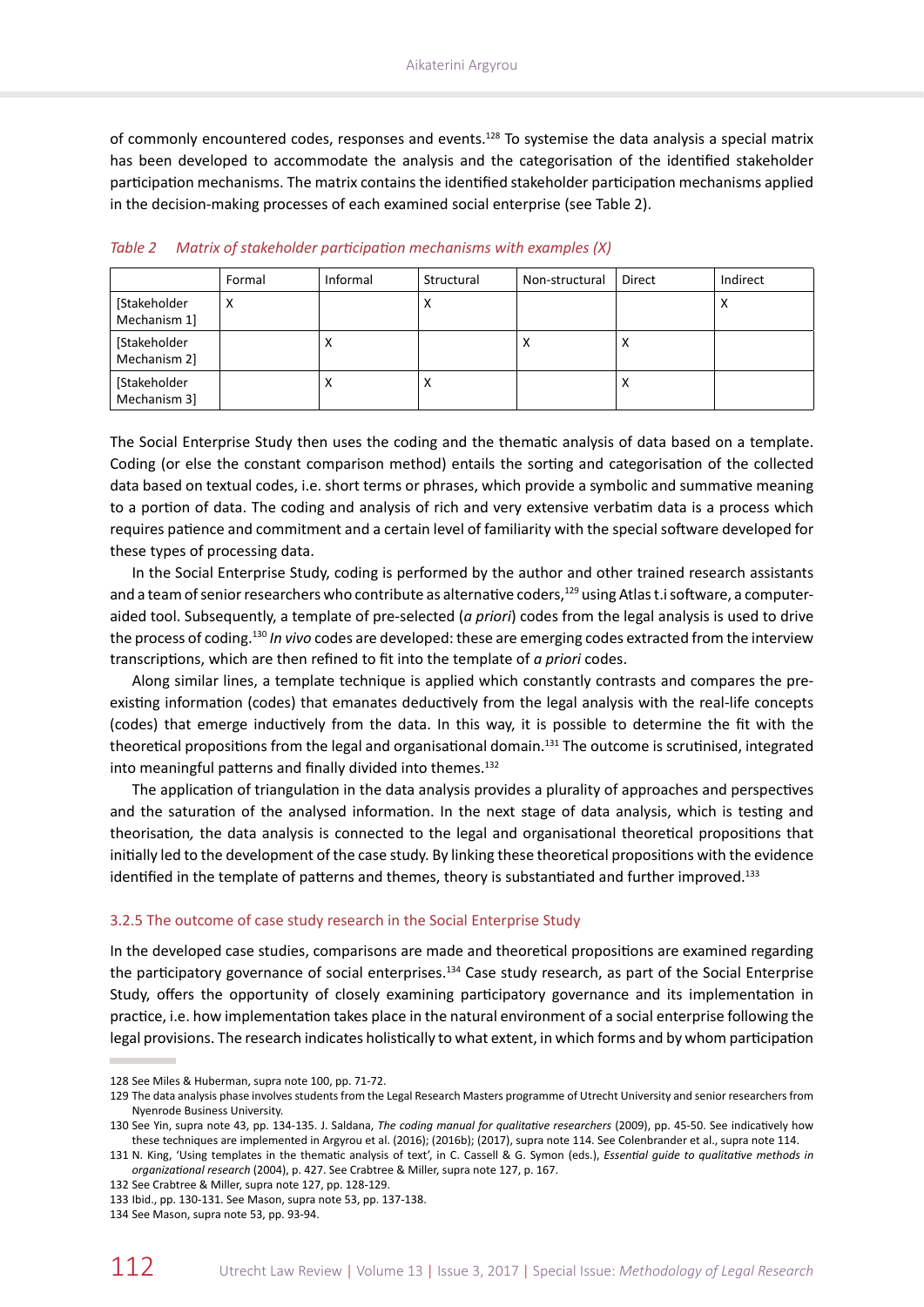of commonly encountered codes, responses and events.128 To systemise the data analysis a special matrix has been developed to accommodate the analysis and the categorisation of the identified stakeholder participation mechanisms. The matrix contains the identified stakeholder participation mechanisms applied in the decision-making processes of each examined social enterprise (see Table 2).

|                              | Formal | Informal  | Structural | Non-structural | Direct    | Indirect  |
|------------------------------|--------|-----------|------------|----------------|-----------|-----------|
| [Stakeholder<br>Mechanism 1] | х      |           | $\lambda$  |                |           | $\lambda$ |
| [Stakeholder<br>Mechanism 2] |        | $\lambda$ |            | х              | $\lambda$ |           |
| [Stakeholder<br>Mechanism 3] |        | $\lambda$ | $\lambda$  |                | ∧         |           |

*Table 2 Matrix of stakeholder participation mechanisms with examples (X)*

The Social Enterprise Study then uses the coding and the thematic analysis of data based on a template. Coding (or else the constant comparison method) entails the sorting and categorisation of the collected data based on textual codes, i.e. short terms or phrases, which provide a symbolic and summative meaning to a portion of data. The coding and analysis of rich and very extensive verbatim data is a process which requires patience and commitment and a certain level of familiarity with the special software developed for these types of processing data.

In the Social Enterprise Study, coding is performed by the author and other trained research assistants and a team of senior researchers who contribute as alternative coders,<sup>129</sup> using Atlas t.i software, a computeraided tool. Subsequently, a template of pre-selected (*a priori*) codes from the legal analysis is used to drive the process of coding.<sup>130</sup> *In vivo* codes are developed: these are emerging codes extracted from the interview transcriptions, which are then refined to fit into the template of *a priori* codes.

Along similar lines, a template technique is applied which constantly contrasts and compares the preexisting information (codes) that emanates deductively from the legal analysis with the real-life concepts (codes) that emerge inductively from the data. In this way, it is possible to determine the fit with the theoretical propositions from the legal and organisational domain.<sup>131</sup> The outcome is scrutinised, integrated into meaningful patterns and finally divided into themes.<sup>132</sup>

The application of triangulation in the data analysis provides a plurality of approaches and perspectives and the saturation of the analysed information. In the next stage of data analysis, which is testing and theorisation*,* the data analysis is connected to the legal and organisational theoretical propositions that initially led to the development of the case study. By linking these theoretical propositions with the evidence identified in the template of patterns and themes, theory is substantiated and further improved.<sup>133</sup>

#### 3.2.5 The outcome of case study research in the Social Enterprise Study

In the developed case studies, comparisons are made and theoretical propositions are examined regarding the participatory governance of social enterprises.134 Case study research, as part of the Social Enterprise Study, offers the opportunity of closely examining participatory governance and its implementation in practice, i.e. how implementation takes place in the natural environment of a social enterprise following the legal provisions. The research indicates holistically to what extent, in which forms and by whom participation

<sup>128</sup> See Miles & Huberman, supra note 100, pp. 71-72.

<sup>129</sup> The data analysis phase involves students from the Legal Research Masters programme of Utrecht University and senior researchers from Nyenrode Business University.

<sup>130</sup> See Yin, supra note 43, pp. 134-135. J. Saldana, *The coding manual for qualitative researchers* (2009), pp. 45-50. See indicatively how these techniques are implemented in Argyrou et al. (2016); (2016b); (2017), supra note 114. See Colenbrander et al., supra note 114.

<sup>131</sup> N. King, 'Using templates in the thematic analysis of text', in C. Cassell & G. Symon (eds.), *Essential guide to qualitative methods in organizational research* (2004), p. 427. See Crabtree & Miller, supra note 127, p. 167.

<sup>132</sup> See Crabtree & Miller, supra note 127, pp. 128-129.

<sup>133</sup> Ibid., pp. 130-131. See Mason, supra note 53, pp. 137-138.

<sup>134</sup> See Mason, supra note 53, pp. 93-94.